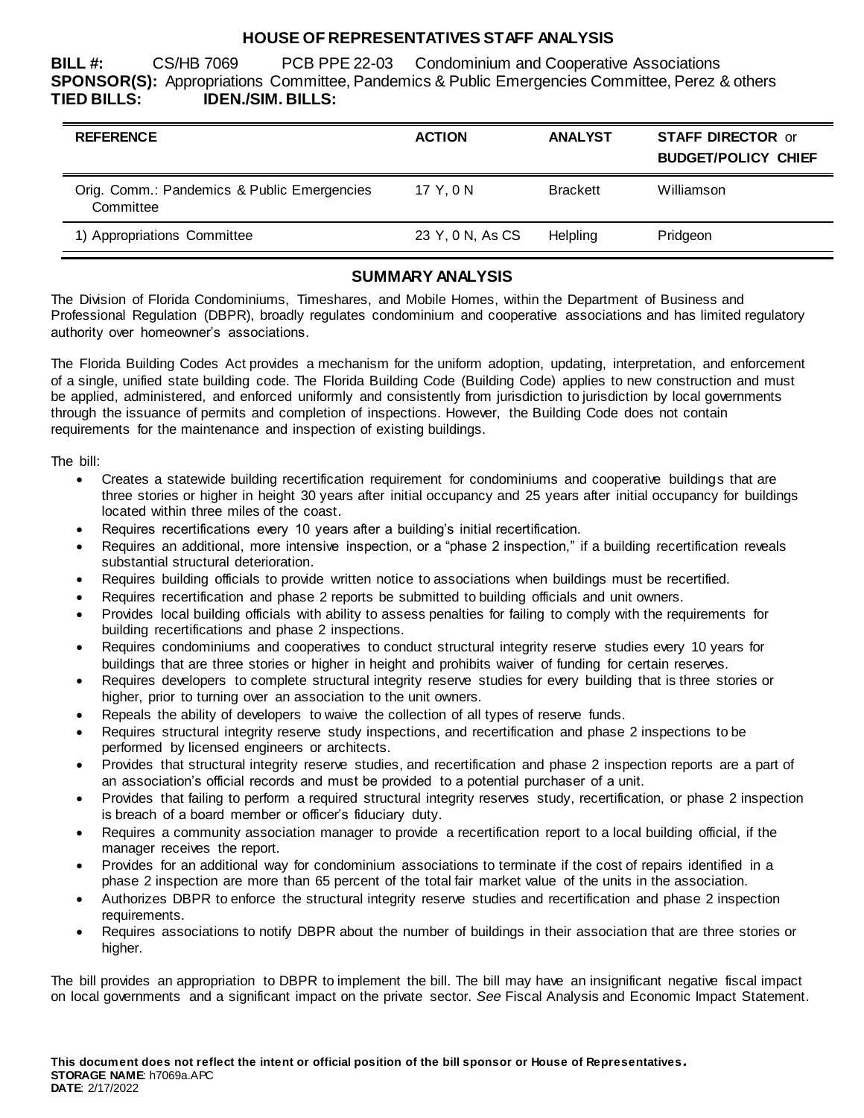# **HOUSE OF REPRESENTATIVES STAFF ANALYSIS**

**BILL #:** CS/HB 7069 PCB PPE 22-03 Condominium and Cooperative Associations **SPONSOR(S):** Appropriations Committee, Pandemics & Public Emergencies Committee, Perez & others **TIED BILLS: IDEN./SIM. BILLS:**

| <b>REFERENCE</b>                                         | <b>ACTION</b>    | <b>ANALYST</b>  | <b>STAFF DIRECTOR or</b><br><b>BUDGET/POLICY CHIEF</b> |
|----------------------------------------------------------|------------------|-----------------|--------------------------------------------------------|
| Orig. Comm.: Pandemics & Public Emergencies<br>Committee | 17 Y.ON          | <b>Brackett</b> | Williamson                                             |
| 1) Appropriations Committee                              | 23 Y, 0 N, As CS | Helpling        | Pridgeon                                               |

# **SUMMARY ANALYSIS**

The Division of Florida Condominiums, Timeshares, and Mobile Homes, within the Department of Business and Professional Regulation (DBPR), broadly regulates condominium and cooperative associations and has limited regulatory authority over homeowner's associations.

The Florida Building Codes Act provides a mechanism for the uniform adoption, updating, interpretation, and enforcement of a single, unified state building code. The Florida Building Code (Building Code) applies to new construction and must be applied, administered, and enforced uniformly and consistently from jurisdiction to jurisdiction by local governments through the issuance of permits and completion of inspections. However, the Building Code does not contain requirements for the maintenance and inspection of existing buildings.

The bill:

- Creates a statewide building recertification requirement for condominiums and cooperative buildings that are three stories or higher in height 30 years after initial occupancy and 25 years after initial occupancy for buildings located within three miles of the coast.
- Requires recertifications every 10 years after a building's initial recertification.
- Requires an additional, more intensive inspection, or a "phase 2 inspection," if a building recertification reveals substantial structural deterioration.
- Requires building officials to provide written notice to associations when buildings must be recertified.
- Requires recertification and phase 2 reports be submitted to building officials and unit owners.
- Provides local building officials with ability to assess penalties for failing to comply with the requirements for building recertifications and phase 2 inspections.
- Requires condominiums and cooperatives to conduct structural integrity reserve studies every 10 years for buildings that are three stories or higher in height and prohibits waiver of funding for certain reserves.
- Requires developers to complete structural integrity reserve studies for every building that is three stories or higher, prior to turning over an association to the unit owners.
- Repeals the ability of developers to waive the collection of all types of reserve funds.
- Requires structural integrity reserve study inspections, and recertification and phase 2 inspections to be performed by licensed engineers or architects.
- Provides that structural integrity reserve studies, and recertification and phase 2 inspection reports are a part of an association's official records and must be provided to a potential purchaser of a unit.
- Provides that failing to perform a required structural integrity reserves study, recertification, or phase 2 inspection is breach of a board member or officer's fiduciary duty.
- Requires a community association manager to provide a recertification report to a local building official, if the manager receives the report.
- Provides for an additional way for condominium associations to terminate if the cost of repairs identified in a phase 2 inspection are more than 65 percent of the total fair market value of the units in the association.
- Authorizes DBPR to enforce the structural integrity reserve studies and recertification and phase 2 inspection requirements.
- Requires associations to notify DBPR about the number of buildings in their association that are three stories or higher.

The bill provides an appropriation to DBPR to implement the bill. The bill may have an insignificant negative fiscal impact on local governments and a significant impact on the private sector. *See* Fiscal Analysis and Economic Impact Statement*.*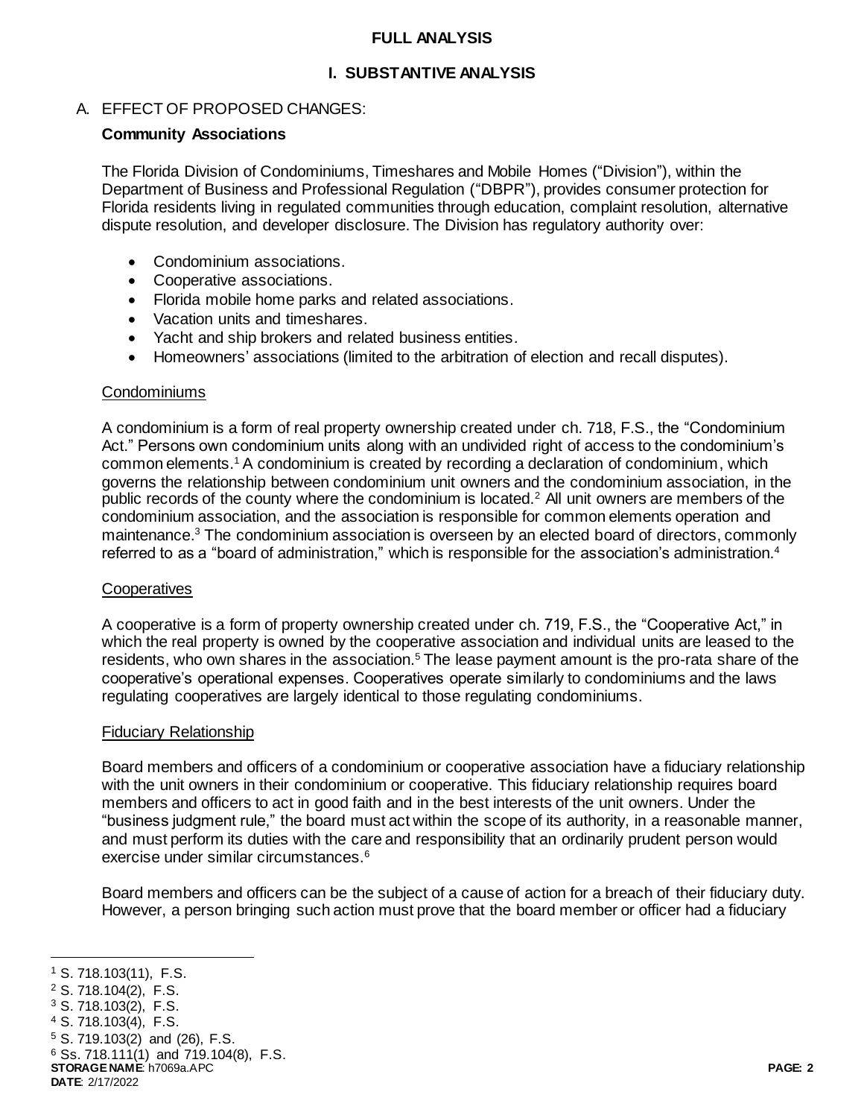### **FULL ANALYSIS**

# **I. SUBSTANTIVE ANALYSIS**

# A. EFFECT OF PROPOSED CHANGES:

# **Community Associations**

The Florida Division of Condominiums, Timeshares and Mobile Homes ("Division"), within the Department of Business and Professional Regulation ("DBPR"), provides consumer protection for Florida residents living in regulated communities through education, complaint resolution, alternative dispute resolution, and developer disclosure. The Division has regulatory authority over:

- Condominium associations.
- Cooperative associations.
- Florida mobile home parks and related associations.
- Vacation units and timeshares.
- Yacht and ship brokers and related business entities.
- Homeowners' associations (limited to the arbitration of election and recall disputes).

### Condominiums

A condominium is a form of real property ownership created under ch. 718, F.S., the "Condominium Act." Persons own condominium units along with an undivided right of access to the condominium's common elements.<sup>1</sup> A condominium is created by recording a declaration of condominium, which governs the relationship between condominium unit owners and the condominium association, in the public records of the county where the condominium is located.<sup>2</sup> All unit owners are members of the condominium association, and the association is responsible for common elements operation and maintenance.<sup>3</sup> The condominium association is overseen by an elected board of directors, commonly referred to as a "board of administration," which is responsible for the association's administration.<sup>4</sup>

#### **Cooperatives**

A cooperative is a form of property ownership created under ch. 719, F.S., the "Cooperative Act," in which the real property is owned by the cooperative association and individual units are leased to the residents, who own shares in the association.<sup>5</sup> The lease payment amount is the pro-rata share of the cooperative's operational expenses. Cooperatives operate similarly to condominiums and the laws regulating cooperatives are largely identical to those regulating condominiums.

#### Fiduciary Relationship

Board members and officers of a condominium or cooperative association have a fiduciary relationship with the unit owners in their condominium or cooperative. This fiduciary relationship requires board members and officers to act in good faith and in the best interests of the unit owners. Under the "business judgment rule," the board must act within the scope of its authority, in a reasonable manner, and must perform its duties with the care and responsibility that an ordinarily prudent person would exercise under similar circumstances.<sup>6</sup>

Board members and officers can be the subject of a cause of action for a breach of their fiduciary duty. However, a person bringing such action must prove that the board member or officer had a fiduciary

<sup>4</sup> S. 718.103(4), F.S.

j <sup>1</sup> S. 718.103(11), F.S.

<sup>2</sup> S. 718.104(2), F.S.

<sup>3</sup> S. 718.103(2), F.S.

<sup>5</sup> S. 719.103(2) and (26), F.S.

<sup>6</sup> Ss. 718.111(1) and 719.104(8), F.S.

**STORAGE NAME**: h7069a.APC **PAGE: 2 DATE**: 2/17/2022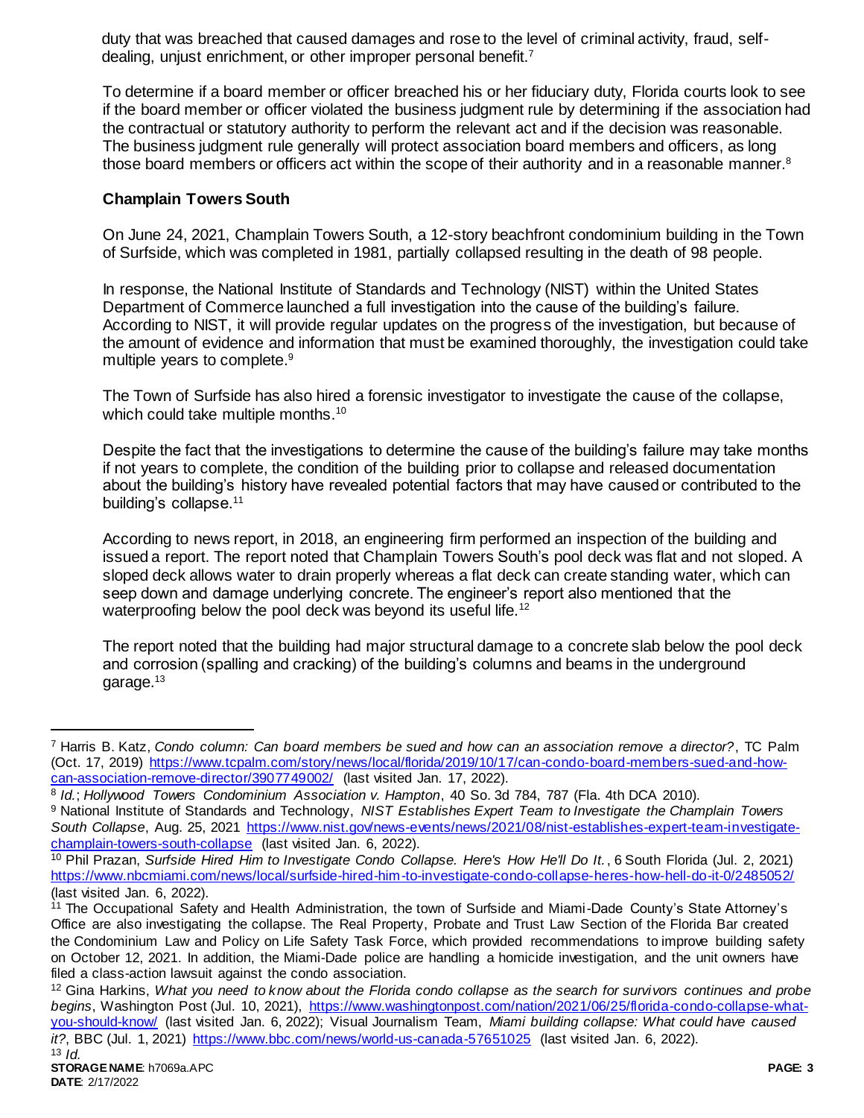duty that was breached that caused damages and rose to the level of criminal activity, fraud, selfdealing, unjust enrichment, or other improper personal benefit.<sup>7</sup>

To determine if a board member or officer breached his or her fiduciary duty, Florida courts look to see if the board member or officer violated the business judgment rule by determining if the association had the contractual or statutory authority to perform the relevant act and if the decision was reasonable. The business judgment rule generally will protect association board members and officers, as long those board members or officers act within the scope of their authority and in a reasonable manner.<sup>8</sup>

# **Champlain Towers South**

On June 24, 2021, Champlain Towers South, a 12-story beachfront condominium building in the Town of Surfside, which was completed in 1981, partially collapsed resulting in the death of 98 people.

In response, the National Institute of Standards and Technology (NIST) within the United States Department of Commerce launched a full investigation into the cause of the building's failure. According to NIST, it will provide regular updates on the progress of the investigation, but because of the amount of evidence and information that must be examined thoroughly, the investigation could take multiple years to complete. 9

The Town of Surfside has also hired a forensic investigator to investigate the cause of the collapse, which could take multiple months.<sup>10</sup>

Despite the fact that the investigations to determine the cause of the building's failure may take months if not years to complete, the condition of the building prior to collapse and released documentation about the building's history have revealed potential factors that may have caused or contributed to the building's collapse.<sup>11</sup>

According to news report, in 2018, an engineering firm performed an inspection of the building and issued a report. The report noted that Champlain Towers South's pool deck was flat and not sloped. A sloped deck allows water to drain properly whereas a flat deck can create standing water, which can seep down and damage underlying concrete. The engineer's report also mentioned that the waterproofing below the pool deck was beyond its useful life.<sup>12</sup>

The report noted that the building had major structural damage to a concrete slab below the pool deck and corrosion (spalling and cracking) of the building's columns and beams in the underground garage.<sup>13</sup>

<sup>7</sup> Harris B. Katz, *Condo column: Can board members be sued and how can an association remove a director?*, TC Palm (Oct. 17, 2019) [https://www.tcpalm.com/story/news/local/florida/2019/10/17/can-condo-board-members-sued-and-how](https://www.tcpalm.com/story/news/local/florida/2019/10/17/can-condo-board-members-sued-and-how-can-association-remove-director/3907749002/)[can-association-remove-director/3907749002/](https://www.tcpalm.com/story/news/local/florida/2019/10/17/can-condo-board-members-sued-and-how-can-association-remove-director/3907749002/) (last visited Jan. 17, 2022).

<sup>8</sup> *Id.*; *Hollywood Towers Condominium Association v. Hampton*, 40 So. 3d 784, 787 (Fla. 4th DCA 2010). <sup>9</sup> National Institute of Standards and Technology, *NIST Establishes Expert Team to Investigate the Champlain Towers South Collapse*, Aug. 25, 2021 [https://www.nist.gov/news-events/news/2021/08/nist-establishes-expert-team-investigate](https://www.nist.gov/news-events/news/2021/08/nist-establishes-expert-team-investigate-champlain-towers-south-collapse)[champlain-towers-south-collapse](https://www.nist.gov/news-events/news/2021/08/nist-establishes-expert-team-investigate-champlain-towers-south-collapse) (last visited Jan. 6, 2022).

<sup>10</sup> Phil Prazan, *Surfside Hired Him to Investigate Condo Collapse. Here's How He'll Do It.*, 6 South Florida (Jul. 2, 2021) <https://www.nbcmiami.com/news/local/surfside-hired-him-to-investigate-condo-collapse-heres-how-hell-do-it-0/2485052/> (last visited Jan. 6, 2022).

<sup>&</sup>lt;sup>11</sup> The Occupational Safety and Health Administration, the town of Surfside and Miami-Dade County's State Attorney's Office are also investigating the collapse. The Real Property, Probate and Trust Law Section of the Florida Bar created the Condominium Law and Policy on Life Safety Task Force, which provided recommendations to improve building safety on October 12, 2021. In addition, the Miami-Dade police are handling a homicide investigation, and the unit owners have filed a class-action lawsuit against the condo association.

<sup>12</sup> Gina Harkins, *What you need to know about the Florida condo collapse as the search for survivors continues and probe begins*, Washington Post (Jul. 10, 2021), [https://www.washingtonpost.com/nation/2021/06/25/florida-condo-collapse-what](https://www.washingtonpost.com/nation/2021/06/25/florida-condo-collapse-what-you-should-know/)[you-should-know/](https://www.washingtonpost.com/nation/2021/06/25/florida-condo-collapse-what-you-should-know/) (last visited Jan. 6, 2022); Visual Journalism Team, *Miami building collapse: What could have caused it?*, BBC (Jul. 1, 2021)<https://www.bbc.com/news/world-us-canada-57651025> (last visited Jan. 6, 2022).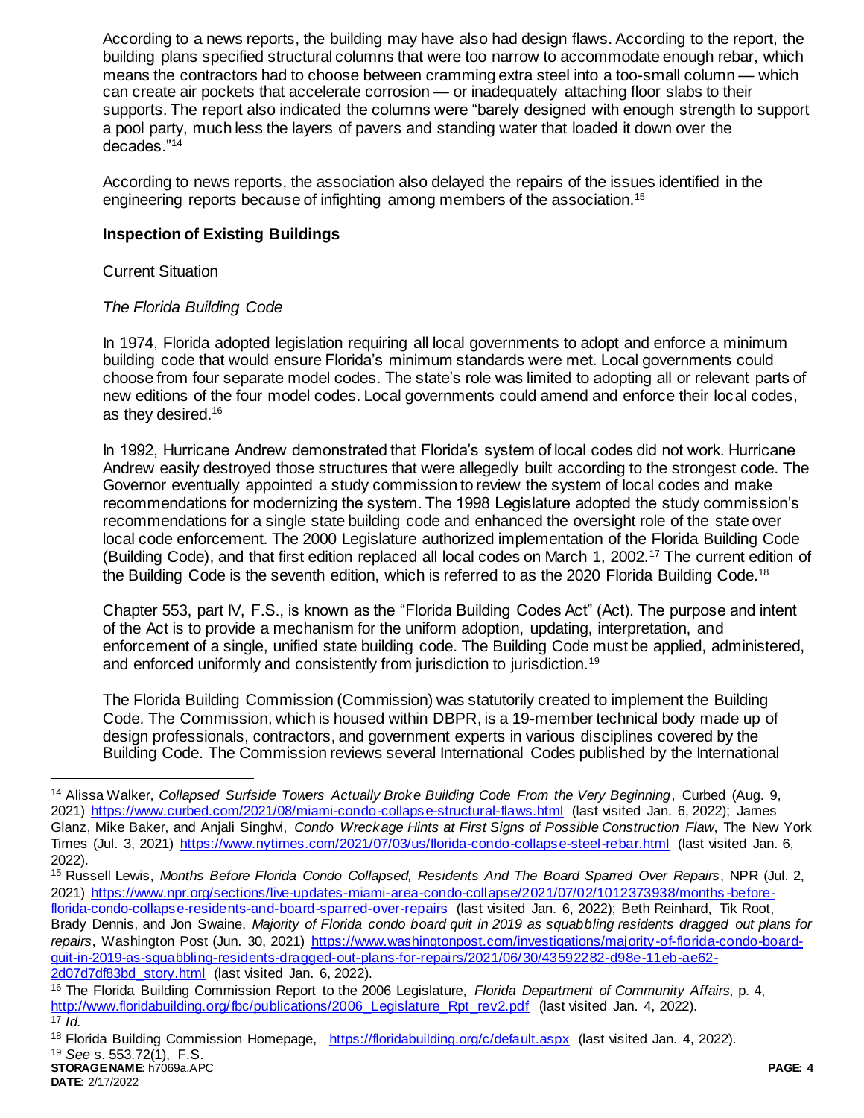According to a news reports, the building may have also had design flaws. According to the report, the building plans specified structural columns that were too narrow to accommodate enough rebar, which means the contractors had to choose between cramming extra steel into a too-small column — which can create air pockets that accelerate corrosion — or inadequately attaching floor slabs to their supports. The report also indicated the columns were "barely designed with enough strength to support a pool party, much less the layers of pavers and standing water that loaded it down over the decades."<sup>14</sup>

According to news reports, the association also delayed the repairs of the issues identified in the engineering reports because of infighting among members of the association.<sup>15</sup>

# **Inspection of Existing Buildings**

# Current Situation

# *The Florida Building Code*

In 1974, Florida adopted legislation requiring all local governments to adopt and enforce a minimum building code that would ensure Florida's minimum standards were met. Local governments could choose from four separate model codes. The state's role was limited to adopting all or relevant parts of new editions of the four model codes. Local governments could amend and enforce their local codes, as they desired.<sup>16</sup>

In 1992, Hurricane Andrew demonstrated that Florida's system of local codes did not work. Hurricane Andrew easily destroyed those structures that were allegedly built according to the strongest code. The Governor eventually appointed a study commission to review the system of local codes and make recommendations for modernizing the system. The 1998 Legislature adopted the study commission's recommendations for a single state building code and enhanced the oversight role of the state over local code enforcement. The 2000 Legislature authorized implementation of the Florida Building Code (Building Code), and that first edition replaced all local codes on March 1, 2002.<sup>17</sup> The current edition of the Building Code is the seventh edition, which is referred to as the 2020 Florida Building Code.<sup>18</sup>

Chapter 553, part IV, F.S., is known as the "Florida Building Codes Act" (Act). The purpose and intent of the Act is to provide a mechanism for the uniform adoption, updating, interpretation, and enforcement of a single, unified state building code. The Building Code must be applied, administered, and enforced uniformly and consistently from jurisdiction to jurisdiction.<sup>19</sup>

The Florida Building Commission (Commission) was statutorily created to implement the Building Code. The Commission, which is housed within DBPR, is a 19-member technical body made up of design professionals, contractors, and government experts in various disciplines covered by the Building Code. The Commission reviews several International Codes published by the International

<sup>14</sup> Alissa Walker, *Collapsed Surfside Towers Actually Broke Building Code From the Very Beginning*, Curbed (Aug. 9, 2021)<https://www.curbed.com/2021/08/miami-condo-collapse-structural-flaws.html> (last visited Jan. 6, 2022); James Glanz, Mike Baker, and Anjali Singhvi, *Condo Wreckage Hints at First Signs of Possible Construction Flaw*, The New York Times (Jul. 3, 2021)<https://www.nytimes.com/2021/07/03/us/florida-condo-collapse-steel-rebar.html> (last visited Jan. 6, 2022).

<sup>15</sup> Russell Lewis, *Months Before Florida Condo Collapsed, Residents And The Board Sparred Over Repairs*, NPR (Jul. 2, 2021) [https://www.npr.org/sections/live-updates-miami-area-condo-collapse/2021/07/02/1012373938/months](https://www.npr.org/sections/live-updates-miami-area-condo-collapse/2021/07/02/1012373938/months-before-florida-condo-collapse-residents-and-board-sparred-over-repairs) -before-

[florida-condo-collapse-residents-and-board-sparred-over-repairs](https://www.npr.org/sections/live-updates-miami-area-condo-collapse/2021/07/02/1012373938/months-before-florida-condo-collapse-residents-and-board-sparred-over-repairs) (last visited Jan. 6, 2022); Beth Reinhard, Tik Root, Brady Dennis, and Jon Swaine, *Majority of Florida condo board quit in 2019 as squabbling residents dragged out plans for repairs*, Washington Post (Jun. 30, 2021) [https://www.washingtonpost.com/investigations/majority-of-florida-condo-board](https://www.washingtonpost.com/investigations/majority-of-florida-condo-board-quit-in-2019-as-squabbling-residents-dragged-out-plans-for-repairs/2021/06/30/43592282-d98e-11eb-ae62-2d07d7df83bd_story.html)[quit-in-2019-as-squabbling-residents-dragged-out-plans-for-repairs/2021/06/30/43592282-d98e-11eb-ae62-](https://www.washingtonpost.com/investigations/majority-of-florida-condo-board-quit-in-2019-as-squabbling-residents-dragged-out-plans-for-repairs/2021/06/30/43592282-d98e-11eb-ae62-2d07d7df83bd_story.html) [2d07d7df83bd\\_story.html](https://www.washingtonpost.com/investigations/majority-of-florida-condo-board-quit-in-2019-as-squabbling-residents-dragged-out-plans-for-repairs/2021/06/30/43592282-d98e-11eb-ae62-2d07d7df83bd_story.html) (last visited Jan. 6, 2022).

<sup>16</sup> The Florida Building Commission Report to the 2006 Legislature, *Florida Department of Community Affairs,* p. 4, http://www.floridabuilding.org/fbc/publications/2006 Legislature Rpt rev2.pdf (last visited Jan. 4, 2022).  $17$  *Id.* 

<sup>&</sup>lt;sup>18</sup> Florida Building Commission Homepage, <https://floridabuilding.org/c/default.aspx> (last visited Jan. 4, 2022). <sup>19</sup> *See* s. 553.72(1), F.S.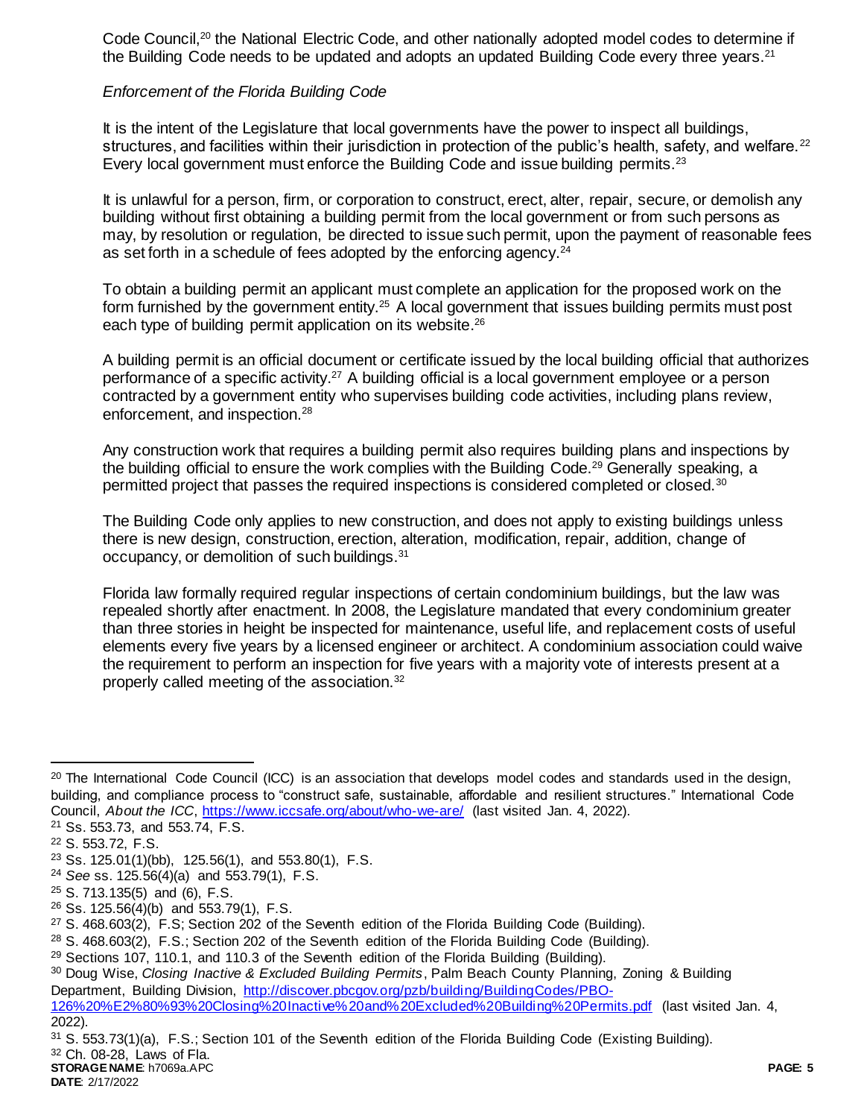Code Council,<sup>20</sup> the National Electric Code, and other nationally adopted model codes to determine if the Building Code needs to be updated and adopts an updated Building Code every three years.<sup>21</sup>

# *Enforcement of the Florida Building Code*

It is the intent of the Legislature that local governments have the power to inspect all buildings, structures, and facilities within their jurisdiction in protection of the public's health, safety, and welfare.<sup>22</sup> Every local government must enforce the Building Code and issue building permits.<sup>23</sup>

It is unlawful for a person, firm, or corporation to construct, erect, alter, repair, secure, or demolish any building without first obtaining a building permit from the local government or from such persons as may, by resolution or regulation, be directed to issue such permit, upon the payment of reasonable fees as set forth in a schedule of fees adopted by the enforcing agency.<sup>24</sup>

To obtain a building permit an applicant must complete an application for the proposed work on the form furnished by the government entity.<sup>25</sup> A local government that issues building permits must post each type of building permit application on its website.<sup>26</sup>

A building permit is an official document or certificate issued by the local building official that authorizes performance of a specific activity.<sup>27</sup> A building official is a local government employee or a person contracted by a government entity who supervises building code activities, including plans review, enforcement, and inspection.<sup>28</sup>

Any construction work that requires a building permit also requires building plans and inspections by the building official to ensure the work complies with the Building Code.<sup>29</sup> Generally speaking, a permitted project that passes the required inspections is considered completed or closed.<sup>30</sup>

The Building Code only applies to new construction, and does not apply to existing buildings unless there is new design, construction, erection, alteration, modification, repair, addition, change of occupancy, or demolition of such buildings.<sup>31</sup>

Florida law formally required regular inspections of certain condominium buildings, but the law was repealed shortly after enactment. In 2008, the Legislature mandated that every condominium greater than three stories in height be inspected for maintenance, useful life, and replacement costs of useful elements every five years by a licensed engineer or architect. A condominium association could waive the requirement to perform an inspection for five years with a majority vote of interests present at a properly called meeting of the association.<sup>32</sup>

 $20$  The International Code Council (ICC) is an association that develops model codes and standards used in the design, building, and compliance process to "construct safe, sustainable, affordable and resilient structures." International Code Council, *About the ICC*,<https://www.iccsafe.org/about/who-we-are/> (last visited Jan. 4, 2022).

<sup>21</sup> Ss. 553.73, and 553.74, F.S.

<sup>22</sup> S. 553.72, F.S.

 $23$  Ss. 125.01(1)(bb), 125.56(1), and 553.80(1), F.S.

<sup>24</sup> *See* ss. 125.56(4)(a) and 553.79(1), F.S.

 $25$  S. 713.135(5) and (6), F.S.

<sup>26</sup> Ss. 125.56(4)(b) and 553.79(1), F.S.

<sup>27</sup> S. 468.603(2), F.S; Section 202 of the Seventh edition of the Florida Building Code (Building).

<sup>28</sup> S. 468.603(2), F.S.; Section 202 of the Seventh edition of the Florida Building Code (Building).

 $29$  Sections 107, 110.1, and 110.3 of the Seventh edition of the Florida Building (Building).

<sup>30</sup> Doug Wise, *Closing Inactive & Excluded Building Permits*, Palm Beach County Planning, Zoning & Building Department, Building Division, [http://discover.pbcgov.org/pzb/building/BuildingCodes/PBO-](http://discover.pbcgov.org/pzb/building/BuildingCodes/PBO-126%20%E2%80%93%20Closing%20Inactive%20and%20Excluded%20Building%20Permits.pdf)

[<sup>126%20%</sup>E2%80%93%20Closing%20Inactive%20and%20Excluded%20Building%20Permits.pdf](http://discover.pbcgov.org/pzb/building/BuildingCodes/PBO-126%20%E2%80%93%20Closing%20Inactive%20and%20Excluded%20Building%20Permits.pdf) (last visited Jan. 4, 2022).

<sup>31</sup> S. 553.73(1)(a), F.S.; Section 101 of the Seventh edition of the Florida Building Code (Existing Building). <sup>32</sup> Ch. 08-28, Laws of Fla.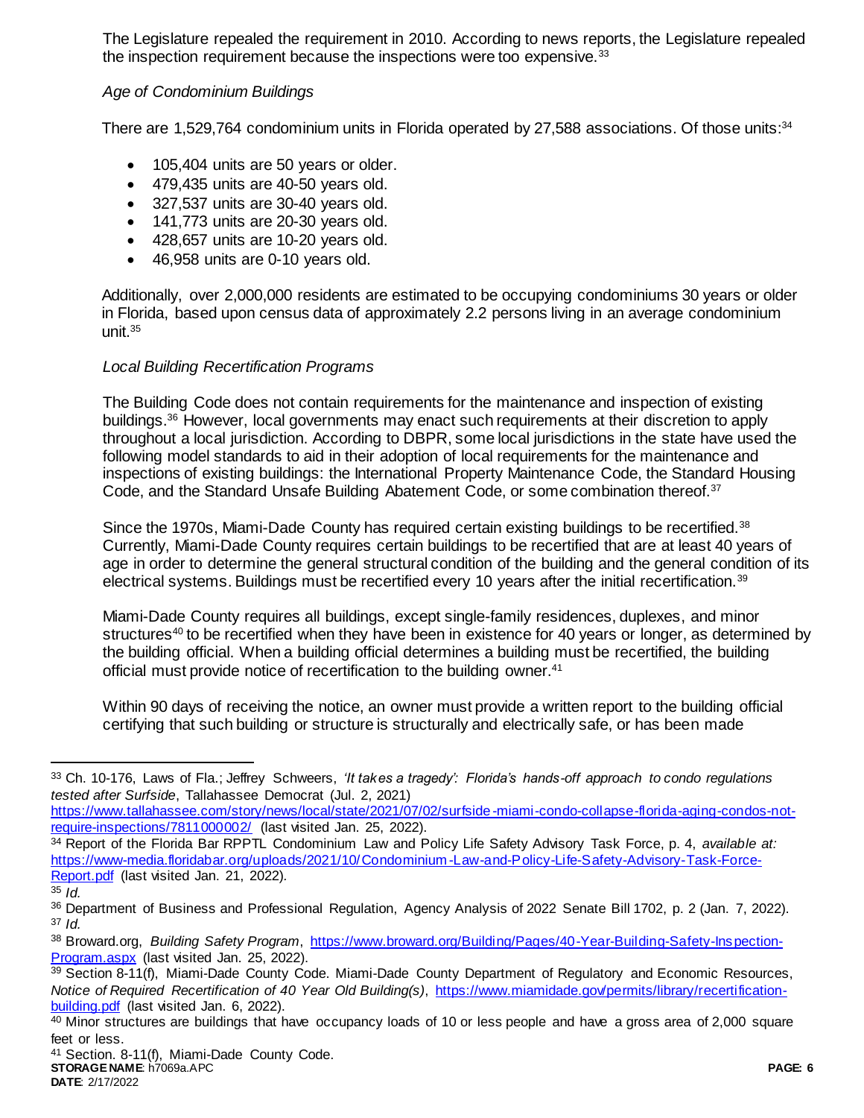The Legislature repealed the requirement in 2010. According to news reports, the Legislature repealed the inspection requirement because the inspections were too expensive.<sup>33</sup>

# *Age of Condominium Buildings*

There are 1,529,764 condominium units in Florida operated by 27,588 associations. Of those units:<sup>34</sup>

- 105,404 units are 50 years or older.
- $\bullet$  479,435 units are 40-50 years old.
- 327,537 units are 30-40 years old.
- $\bullet$  141,773 units are 20-30 years old.
- 428,657 units are 10-20 years old.
- 46,958 units are 0-10 years old.

Additionally, over 2,000,000 residents are estimated to be occupying condominiums 30 years or older in Florida, based upon census data of approximately 2.2 persons living in an average condominium unit.<sup>35</sup>

# *Local Building Recertification Programs*

The Building Code does not contain requirements for the maintenance and inspection of existing buildings.<sup>36</sup> However, local governments may enact such requirements at their discretion to apply throughout a local jurisdiction. According to DBPR, some local jurisdictions in the state have used the following model standards to aid in their adoption of local requirements for the maintenance and inspections of existing buildings: the International Property Maintenance Code, the Standard Housing Code, and the Standard Unsafe Building Abatement Code, or some combination thereof.<sup>37</sup>

Since the 1970s, Miami-Dade County has required certain existing buildings to be recertified.<sup>38</sup> Currently, Miami-Dade County requires certain buildings to be recertified that are at least 40 years of age in order to determine the general structural condition of the building and the general condition of its electrical systems. Buildings must be recertified every 10 years after the initial recertification.<sup>39</sup>

Miami-Dade County requires all buildings, except single-family residences, duplexes, and minor structures<sup>40</sup> to be recertified when they have been in existence for 40 years or longer, as determined by the building official. When a building official determines a building must be recertified, the building official must provide notice of recertification to the building owner.<sup>41</sup>

Within 90 days of receiving the notice, an owner must provide a written report to the building official certifying that such building or structure is structurally and electrically safe, or has been made

[https://www.tallahassee.com/story/news/local/state/2021/07/02/surfside](https://www.tallahassee.com/story/news/local/state/2021/07/02/surfside-miami-condo-collapse-florida-aging-condos-not-require-inspections/7811000002/) -miami-condo-collapse-florida-aging-condos-not[require-inspections/7811000002/](https://www.tallahassee.com/story/news/local/state/2021/07/02/surfside-miami-condo-collapse-florida-aging-condos-not-require-inspections/7811000002/) (last visited Jan. 25, 2022).

<sup>34</sup> Report of the Florida Bar RPPTL Condominium Law and Policy Life Safety Advisory Task Force, p. 4, *available at:* [https://www-media.floridabar.org/uploads/2021/10/Condominium](https://www-media.floridabar.org/uploads/2021/10/Condominium-Law-and-Policy-Life-Safety-Advisory-Task-Force-Report.pdf) -Law-and-Policy-Life-Safety-Advisory-Task-Force-[Report.pdf](https://www-media.floridabar.org/uploads/2021/10/Condominium-Law-and-Policy-Life-Safety-Advisory-Task-Force-Report.pdf) (last visited Jan. 21, 2022)*.*

<sup>33</sup> Ch. 10-176, Laws of Fla.; Jeffrey Schweers, *'It takes a tragedy': Florida's hands-off approach to condo regulations tested after Surfside*, Tallahassee Democrat (Jul. 2, 2021)

<sup>35</sup> *Id.* 

<sup>36</sup> Department of Business and Professional Regulation, Agency Analysis of 2022 Senate Bill 1702, p. 2 (Jan. 7, 2022). <sup>37</sup> *Id.* 

<sup>38</sup> Broward.org, *Building Safety Program*, [https://www.broward.org/Building/Pages/40-Year-Building-Safety-Inspection-](https://www.broward.org/Building/Pages/40-Year-Building-Safety-Inspection-Program.aspx)[Program.aspx](https://www.broward.org/Building/Pages/40-Year-Building-Safety-Inspection-Program.aspx) (last visited Jan. 25, 2022).

<sup>39</sup> Section 8-11(f), Miami-Dade County Code. Miami-Dade County Department of Regulatory and Economic Resources, *Notice of Required Recertification of 40 Year Old Building(s)*, [https://www.miamidade.gov/permits/library/recertification](https://www.miamidade.gov/permits/library/recertification-building.pdf)[building.pdf](https://www.miamidade.gov/permits/library/recertification-building.pdf) (last visited Jan. 6, 2022).

<sup>&</sup>lt;sup>40</sup> Minor structures are buildings that have occupancy loads of 10 or less people and have a gross area of 2,000 square feet or less.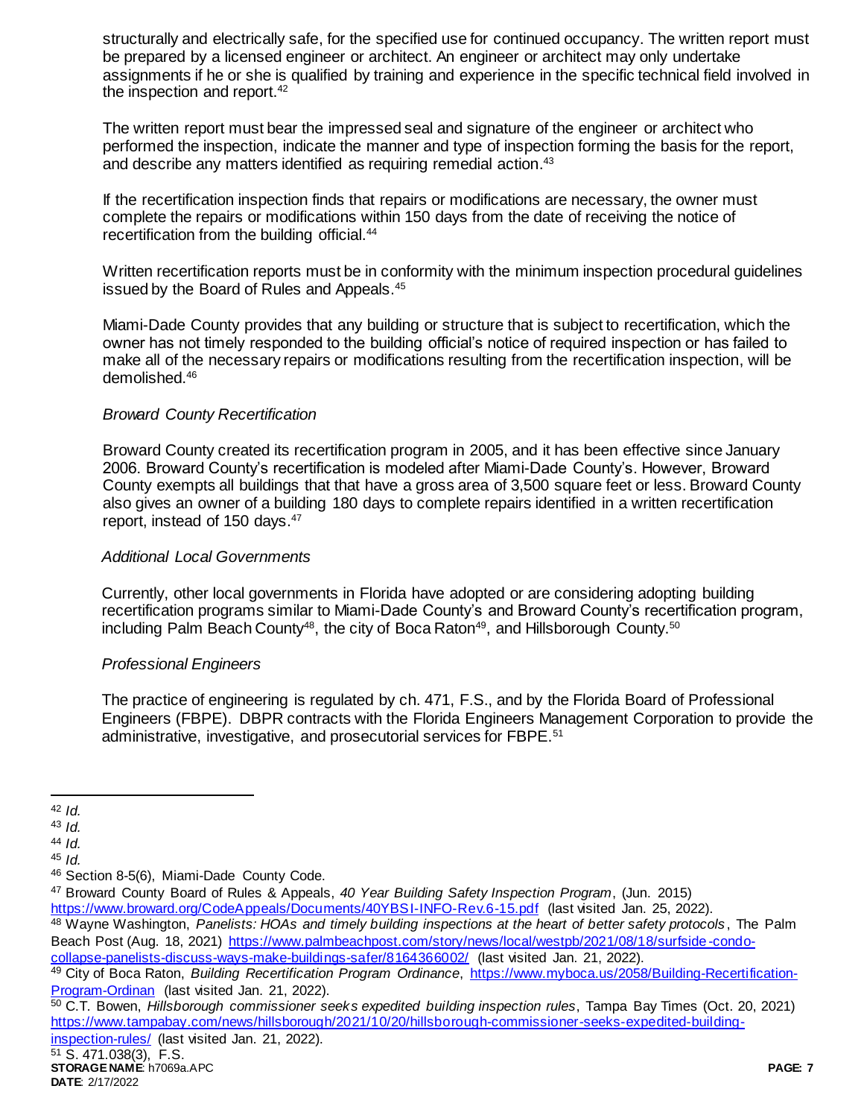structurally and electrically safe, for the specified use for continued occupancy. The written report must be prepared by a licensed engineer or architect. An engineer or architect may only undertake assignments if he or she is qualified by training and experience in the specific technical field involved in the inspection and report.<sup>42</sup>

The written report must bear the impressed seal and signature of the engineer or architect who performed the inspection, indicate the manner and type of inspection forming the basis for the report, and describe any matters identified as requiring remedial action. 43

If the recertification inspection finds that repairs or modifications are necessary, the owner must complete the repairs or modifications within 150 days from the date of receiving the notice of recertification from the building official.<sup>44</sup>

Written recertification reports must be in conformity with the minimum inspection procedural guidelines issued by the Board of Rules and Appeals.<sup>45</sup>

Miami-Dade County provides that any building or structure that is subject to recertification, which the owner has not timely responded to the building official's notice of required inspection or has failed to make all of the necessary repairs or modifications resulting from the recertification inspection, will be demolished.<sup>46</sup>

### *Broward County Recertification*

Broward County created its recertification program in 2005, and it has been effective since January 2006. Broward County's recertification is modeled after Miami-Dade County's. However, Broward County exempts all buildings that that have a gross area of 3,500 square feet or less. Broward County also gives an owner of a building 180 days to complete repairs identified in a written recertification report, instead of 150 days.<sup>47</sup>

#### *Additional Local Governments*

Currently, other local governments in Florida have adopted or are considering adopting building recertification programs similar to Miami-Dade County's and Broward County's recertification program, including Palm Beach County<sup>48</sup>, the city of Boca Raton<sup>49</sup>, and Hillsborough County.<sup>50</sup>

#### *Professional Engineers*

The practice of engineering is regulated by ch. 471, F.S., and by the Florida Board of Professional Engineers (FBPE). DBPR contracts with the Florida Engineers Management Corporation to provide the administrative, investigative, and prosecutorial services for FBPE.<sup>51</sup>

<sup>47</sup> Broward County Board of Rules & Appeals, *40 Year Building Safety Inspection Program*, (Jun. 2015)

<https://www.broward.org/CodeAppeals/Documents/40YBSI-INFO-Rev.6-15.pdf> (last visited Jan. 25, 2022).

[collapse-panelists-discuss-ways-make-buildings-safer/8164366002/](https://www.palmbeachpost.com/story/news/local/westpb/2021/08/18/surfside-condo-collapse-panelists-discuss-ways-make-buildings-safer/8164366002/) (last visited Jan. 21, 2022).

<sup>50</sup> C.T. Bowen, *Hillsborough commissioner seeks expedited building inspection rules*, Tampa Bay Times (Oct. 20, 2021) [https://www.tampabay.com/news/hillsborough/2021/10/20/hillsborough-commissioner-seeks-expedited-building](https://www.tampabay.com/news/hillsborough/2021/10/20/hillsborough-commissioner-seeks-expedited-building-inspection-rules/)[inspection-rules/](https://www.tampabay.com/news/hillsborough/2021/10/20/hillsborough-commissioner-seeks-expedited-building-inspection-rules/) (last visited Jan. 21, 2022).

**STORAGE NAME**: h7069a.APC **PAGE: 7** <sup>51</sup> S. 471.038(3), F.S.

 $\overline{a}$ <sup>42</sup> *Id.*

<sup>43</sup> *Id.* 

<sup>44</sup> *Id.*

<sup>45</sup> *Id.*

<sup>46</sup> Section 8-5(6), Miami-Dade County Code.

<sup>48</sup> Wayne Washington, *Panelists: HOAs and timely building inspections at the heart of better safety protocols* , The Palm Beach Post (Aug. 18, 2021) [https://www.palmbeachpost.com/story/news/local/westpb/2021/08/18/surfside](https://www.palmbeachpost.com/story/news/local/westpb/2021/08/18/surfside-condo-collapse-panelists-discuss-ways-make-buildings-safer/8164366002/) -condo-

<sup>49</sup> City of Boca Raton, *Building Recertification Program Ordinance*, [https://www.myboca.us/2058/Building-Recertification-](https://www.myboca.us/2058/Building-Recertification-Program-Ordinan)[Program-Ordinan](https://www.myboca.us/2058/Building-Recertification-Program-Ordinan) (last visited Jan. 21, 2022).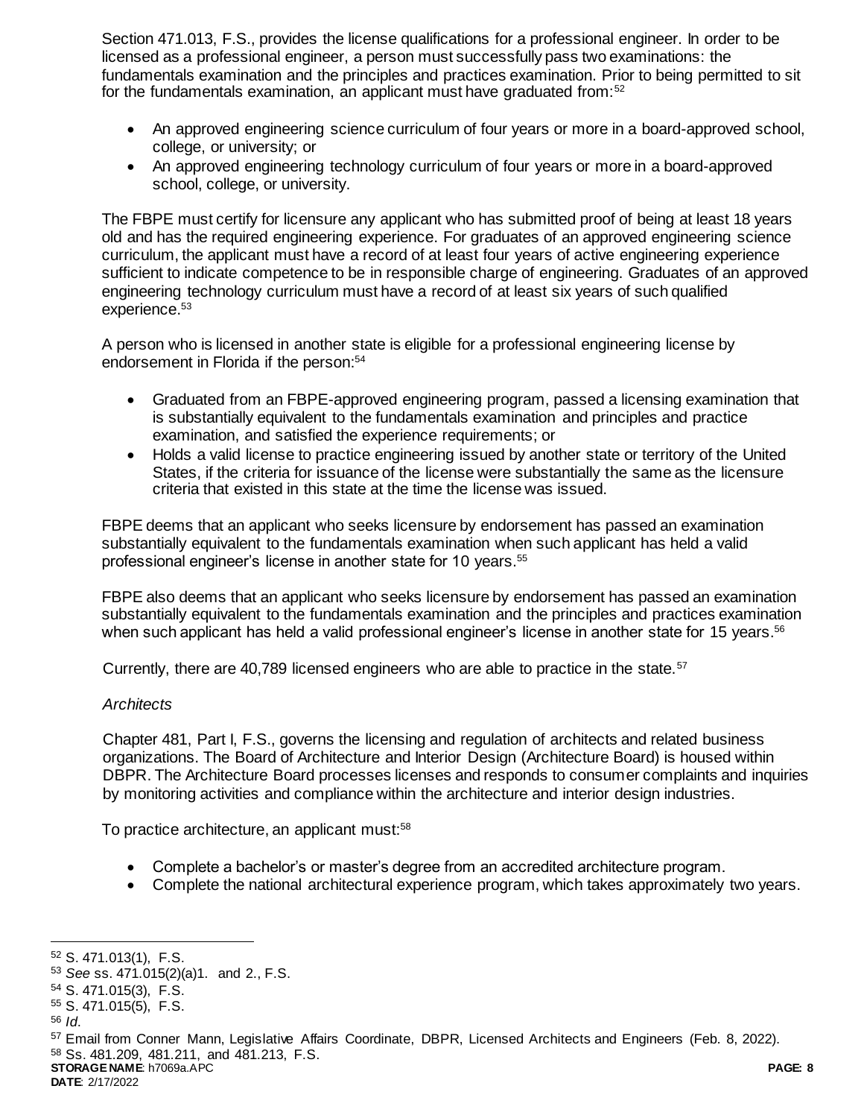Section 471.013, F.S., provides the license qualifications for a professional engineer. In order to be licensed as a professional engineer, a person must successfully pass two examinations: the fundamentals examination and the principles and practices examination. Prior to being permitted to sit for the fundamentals examination, an applicant must have graduated from:<sup>52</sup>

- An approved engineering science curriculum of four years or more in a board-approved school, college, or university; or
- An approved engineering technology curriculum of four years or more in a board-approved school, college, or university.

The FBPE must certify for licensure any applicant who has submitted proof of being at least 18 years old and has the required engineering experience. For graduates of an approved engineering science curriculum, the applicant must have a record of at least four years of active engineering experience sufficient to indicate competence to be in responsible charge of engineering. Graduates of an approved engineering technology curriculum must have a record of at least six years of such qualified experience.<sup>53</sup>

A person who is licensed in another state is eligible for a professional engineering license by endorsement in Florida if the person: 54

- Graduated from an FBPE-approved engineering program, passed a licensing examination that is substantially equivalent to the fundamentals examination and principles and practice examination, and satisfied the experience requirements; or
- Holds a valid license to practice engineering issued by another state or territory of the United States, if the criteria for issuance of the license were substantially the same as the licensure criteria that existed in this state at the time the license was issued.

FBPE deems that an applicant who seeks licensure by endorsement has passed an examination substantially equivalent to the fundamentals examination when such applicant has held a valid professional engineer's license in another state for 10 years.<sup>55</sup>

FBPE also deems that an applicant who seeks licensure by endorsement has passed an examination substantially equivalent to the fundamentals examination and the principles and practices examination when such applicant has held a valid professional engineer's license in another state for 15 years.<sup>56</sup>

Currently, there are 40,789 licensed engineers who are able to practice in the state.<sup>57</sup>

#### *Architects*

Chapter 481, Part I, F.S., governs the licensing and regulation of architects and related business organizations. The Board of Architecture and Interior Design (Architecture Board) is housed within DBPR. The Architecture Board processes licenses and responds to consumer complaints and inquiries by monitoring activities and compliance within the architecture and interior design industries.

To practice architecture, an applicant must:<sup>58</sup>

- Complete a bachelor's or master's degree from an accredited architecture program.
- Complete the national architectural experience program, which takes approximately two years.

l

**STORAGE NAME**: h7069a.APC **PAGE: 8**

<sup>52</sup> S. 471.013(1), F.S.

<sup>53</sup> *See* ss. 471.015(2)(a)1. and 2., F.S.

<sup>54</sup> S. 471.015(3), F.S.

<sup>55</sup> S. 471.015(5), F.S.

<sup>56</sup> *Id*.

<sup>57</sup> Email from Conner Mann, Legislative Affairs Coordinate, DBPR, Licensed Architects and Engineers (Feb. 8, 2022). <sup>58</sup> Ss. 481.209, 481.211, and 481.213, F.S.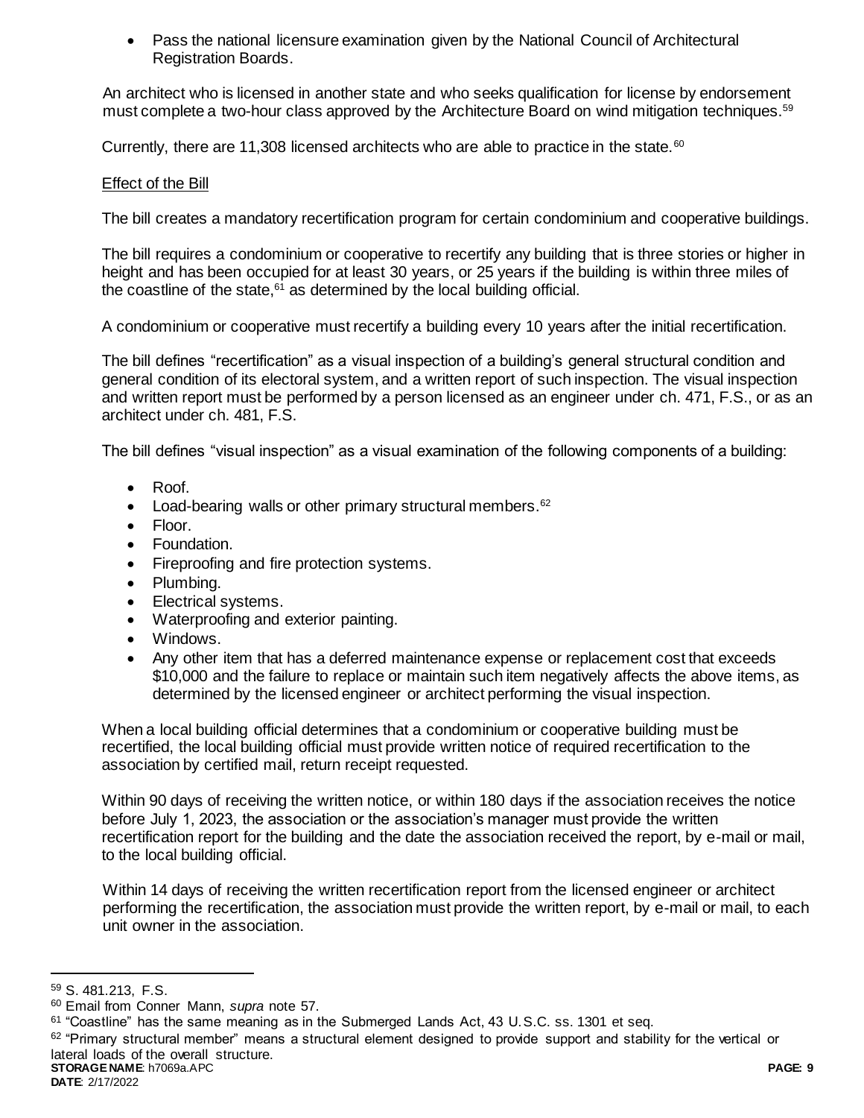Pass the national licensure examination given by the National Council of Architectural Registration Boards.

An architect who is licensed in another state and who seeks qualification for license by endorsement must complete a two-hour class approved by the Architecture Board on wind mitigation techniques.<sup>59</sup>

Currently, there are 11,308 licensed architects who are able to practice in the state. $60$ 

# Effect of the Bill

The bill creates a mandatory recertification program for certain condominium and cooperative buildings.

The bill requires a condominium or cooperative to recertify any building that is three stories or higher in height and has been occupied for at least 30 years, or 25 years if the building is within three miles of the coastline of the state, $61$  as determined by the local building official.

A condominium or cooperative must recertify a building every 10 years after the initial recertification.

The bill defines "recertification" as a visual inspection of a building's general structural condition and general condition of its electoral system, and a written report of such inspection. The visual inspection and written report must be performed by a person licensed as an engineer under ch. 471, F.S., or as an architect under ch. 481, F.S.

The bill defines "visual inspection" as a visual examination of the following components of a building:

- Roof.
- Load-bearing walls or other primary structural members.<sup>62</sup>
- Floor.
- Foundation.
- Fireproofing and fire protection systems.
- Plumbing.
- Electrical systems.
- Waterproofing and exterior painting.
- Windows.
- Any other item that has a deferred maintenance expense or replacement cost that exceeds \$10,000 and the failure to replace or maintain such item negatively affects the above items, as determined by the licensed engineer or architect performing the visual inspection.

When a local building official determines that a condominium or cooperative building must be recertified, the local building official must provide written notice of required recertification to the association by certified mail, return receipt requested.

Within 90 days of receiving the written notice, or within 180 days if the association receives the notice before July 1, 2023, the association or the association's manager must provide the written recertification report for the building and the date the association received the report, by e-mail or mail, to the local building official.

Within 14 days of receiving the written recertification report from the licensed engineer or architect performing the recertification, the association must provide the written report, by e-mail or mail, to each unit owner in the association.

<sup>59</sup> S. 481.213, F.S.

<sup>60</sup> Email from Conner Mann, *supra* note 57.

<sup>61</sup> "Coastline" has the same meaning as in the Submerged Lands Act, 43 U.S.C. ss. 1301 et seq.

**STORAGE NAME**: h7069a.APC **PAGE: 9**  $62$  "Primary structural member" means a structural element designed to provide support and stability for the vertical or lateral loads of the overall structure.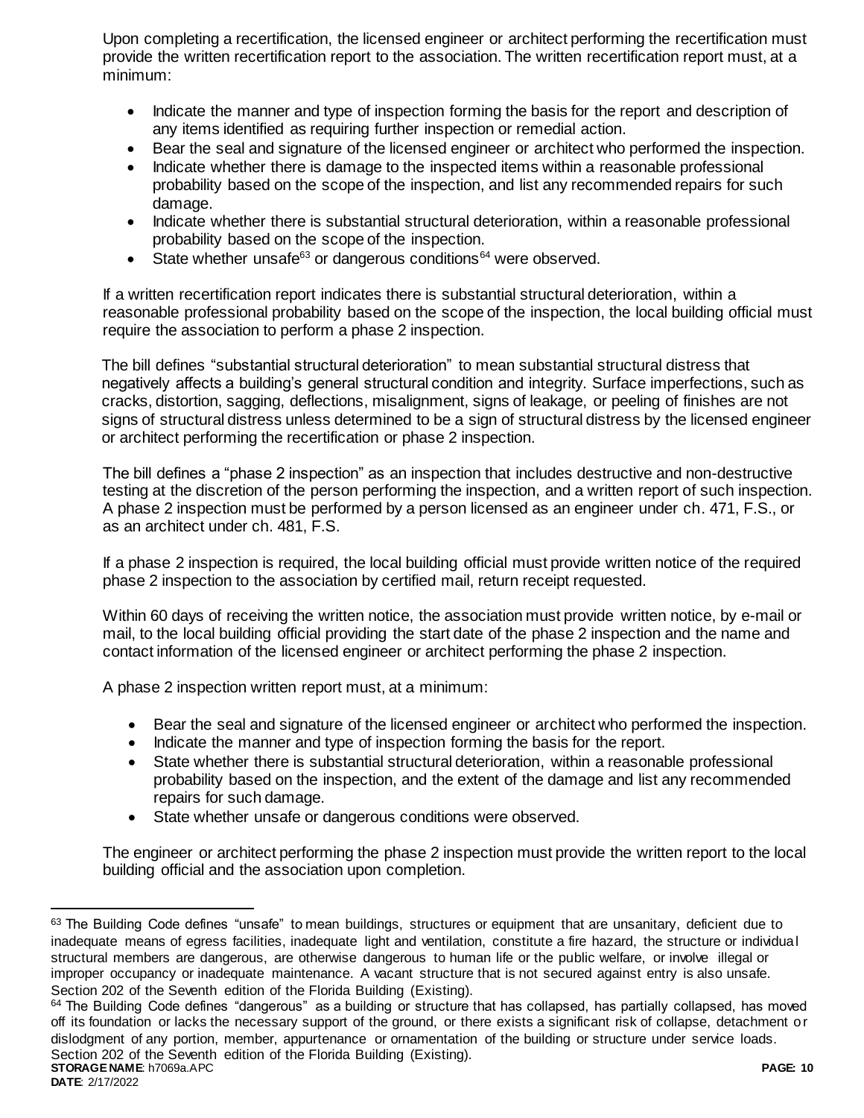Upon completing a recertification, the licensed engineer or architect performing the recertification must provide the written recertification report to the association. The written recertification report must, at a minimum:

- Indicate the manner and type of inspection forming the basis for the report and description of any items identified as requiring further inspection or remedial action.
- Bear the seal and signature of the licensed engineer or architect who performed the inspection.
- Indicate whether there is damage to the inspected items within a reasonable professional probability based on the scope of the inspection, and list any recommended repairs for such damage.
- Indicate whether there is substantial structural deterioration, within a reasonable professional probability based on the scope of the inspection.
- State whether unsafe<sup>63</sup> or dangerous conditions<sup>64</sup> were observed.

If a written recertification report indicates there is substantial structural deterioration, within a reasonable professional probability based on the scope of the inspection, the local building official must require the association to perform a phase 2 inspection.

The bill defines "substantial structural deterioration" to mean substantial structural distress that negatively affects a building's general structural condition and integrity. Surface imperfections, such as cracks, distortion, sagging, deflections, misalignment, signs of leakage, or peeling of finishes are not signs of structural distress unless determined to be a sign of structural distress by the licensed engineer or architect performing the recertification or phase 2 inspection.

The bill defines a "phase 2 inspection" as an inspection that includes destructive and non-destructive testing at the discretion of the person performing the inspection, and a written report of such inspection. A phase 2 inspection must be performed by a person licensed as an engineer under ch. 471, F.S., or as an architect under ch. 481, F.S.

If a phase 2 inspection is required, the local building official must provide written notice of the required phase 2 inspection to the association by certified mail, return receipt requested.

Within 60 days of receiving the written notice, the association must provide written notice, by e-mail or mail, to the local building official providing the start date of the phase 2 inspection and the name and contact information of the licensed engineer or architect performing the phase 2 inspection.

A phase 2 inspection written report must, at a minimum:

- Bear the seal and signature of the licensed engineer or architect who performed the inspection.
- Indicate the manner and type of inspection forming the basis for the report.
- State whether there is substantial structural deterioration, within a reasonable professional probability based on the inspection, and the extent of the damage and list any recommended repairs for such damage.
- State whether unsafe or dangerous conditions were observed.

The engineer or architect performing the phase 2 inspection must provide the written report to the local building official and the association upon completion.

<sup>63</sup> The Building Code defines "unsafe" to mean buildings, structures or equipment that are unsanitary, deficient due to inadequate means of egress facilities, inadequate light and ventilation, constitute a fire hazard, the structure or individual structural members are dangerous, are otherwise dangerous to human life or the public welfare, or involve illegal or improper occupancy or inadequate maintenance. A vacant structure that is not secured against entry is also unsafe. Section 202 of the Seventh edition of the Florida Building (Existing).

**STORAGE NAME**: h7069a.APC **PAGE: 10**  $64$  The Building Code defines "dangerous" as a building or structure that has collapsed, has partially collapsed, has moved off its foundation or lacks the necessary support of the ground, or there exists a significant risk of collapse, detachment or dislodgment of any portion, member, appurtenance or ornamentation of the building or structure under service loads. Section 202 of the Seventh edition of the Florida Building (Existing).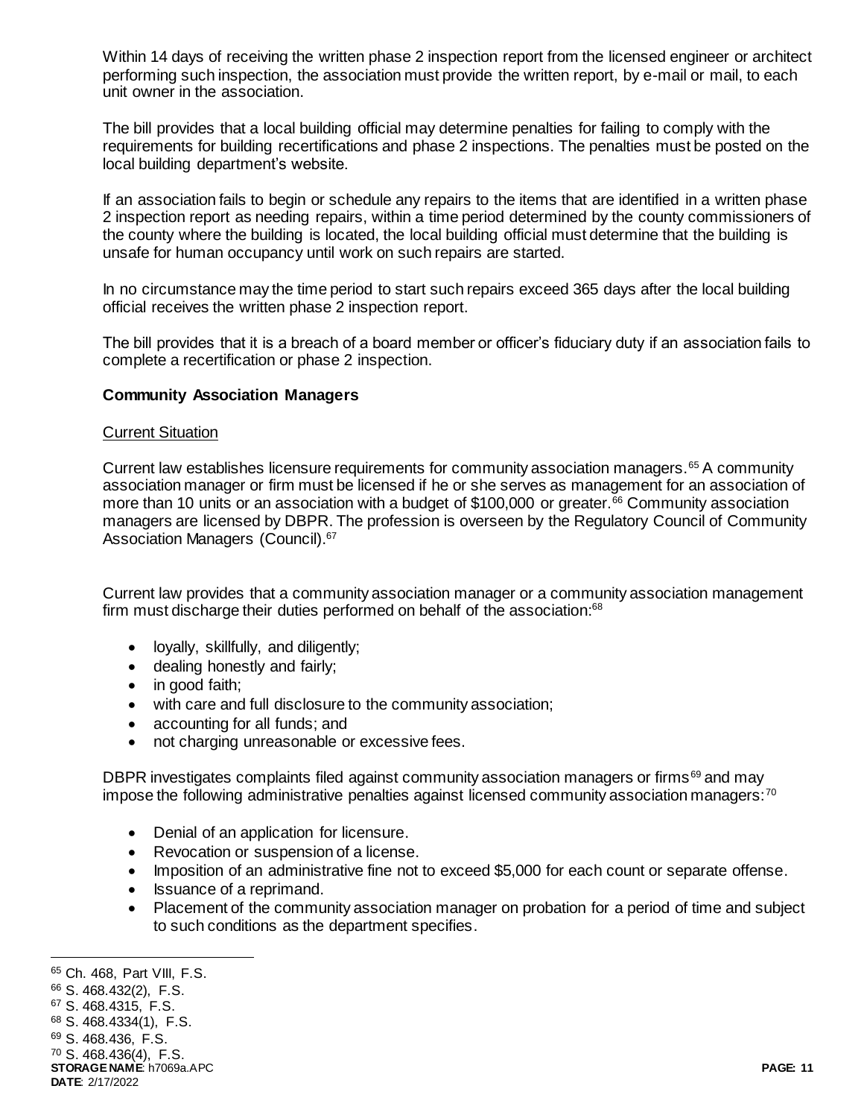Within 14 days of receiving the written phase 2 inspection report from the licensed engineer or architect performing such inspection, the association must provide the written report, by e-mail or mail, to each unit owner in the association.

The bill provides that a local building official may determine penalties for failing to comply with the requirements for building recertifications and phase 2 inspections. The penalties must be posted on the local building department's website.

If an association fails to begin or schedule any repairs to the items that are identified in a written phase 2 inspection report as needing repairs, within a time period determined by the county commissioners of the county where the building is located, the local building official must determine that the building is unsafe for human occupancy until work on such repairs are started.

In no circumstance may the time period to start such repairs exceed 365 days after the local building official receives the written phase 2 inspection report.

The bill provides that it is a breach of a board member or officer's fiduciary duty if an association fails to complete a recertification or phase 2 inspection.

#### **Community Association Managers**

#### Current Situation

Current law establishes licensure requirements for community association managers.<sup>65</sup> A community association manager or firm must be licensed if he or she serves as management for an association of more than 10 units or an association with a budget of \$100,000 or greater.<sup>66</sup> Community association managers are licensed by DBPR. The profession is overseen by the Regulatory Council of Community Association Managers (Council).<sup>67</sup>

Current law provides that a community association manager or a community association management firm must discharge their duties performed on behalf of the association:<sup>68</sup>

- loyally, skillfully, and diligently;
- dealing honestly and fairly;
- in good faith;
- with care and full disclosure to the community association;
- accounting for all funds; and
- not charging unreasonable or excessive fees.

DBPR investigates complaints filed against community association managers or firms<sup>69</sup> and may impose the following administrative penalties against licensed community association managers: $70$ 

- Denial of an application for licensure.
- Revocation or suspension of a license.
- Imposition of an administrative fine not to exceed \$5,000 for each count or separate offense.
- Issuance of a reprimand.
- Placement of the community association manager on probation for a period of time and subject to such conditions as the department specifies.

j <sup>65</sup> Ch. 468, Part VIII, F.S.

<sup>66</sup> S. 468.432(2), F.S.

<sup>67</sup> S. 468.4315, F.S.

<sup>68</sup> S. 468.4334(1), F.S.

<sup>69</sup> S. 468.436, F.S.

<sup>70</sup> S. 468.436(4), F.S.

**STORAGE NAME**: h7069a.APC **PAGE: 11 DATE**: 2/17/2022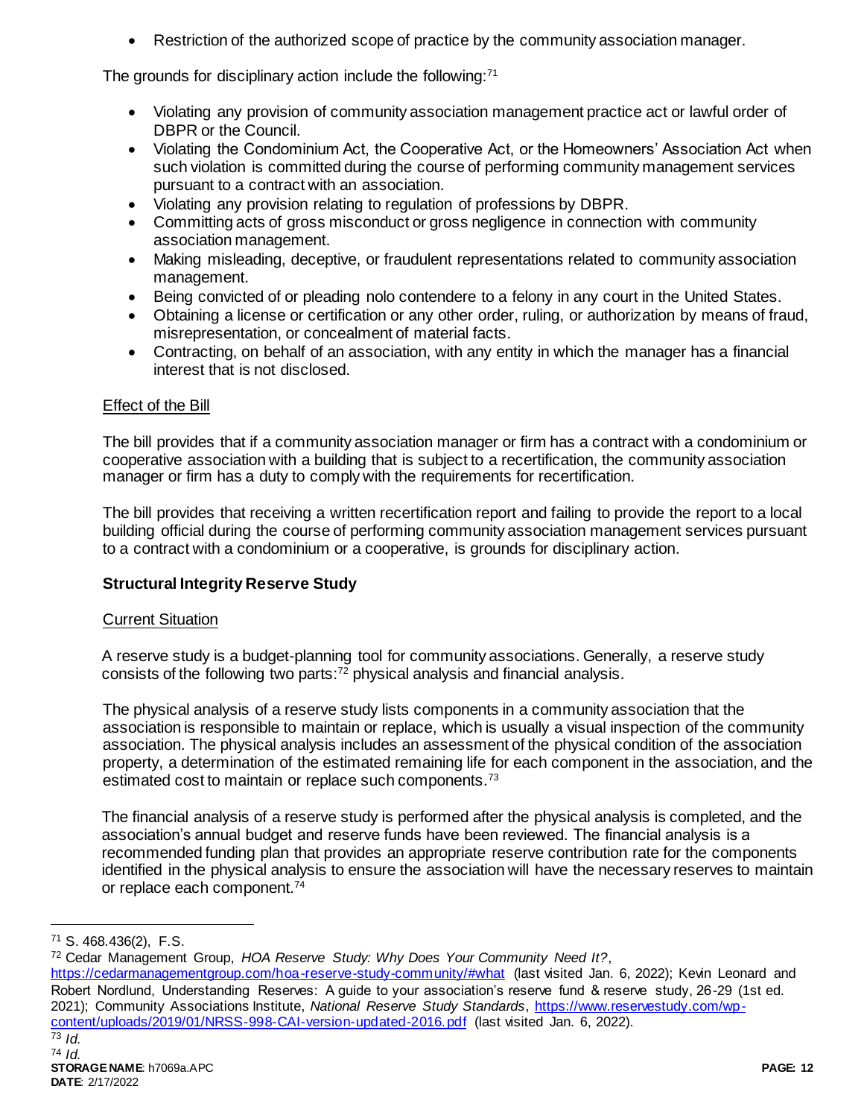Restriction of the authorized scope of practice by the community association manager.

The grounds for disciplinary action include the following: $71$ 

- Violating any provision of community association management practice act or lawful order of DBPR or the Council.
- Violating the Condominium Act, the Cooperative Act, or the Homeowners' Association Act when such violation is committed during the course of performing community management services pursuant to a contract with an association.
- Violating any provision relating to regulation of professions by DBPR.
- Committing acts of gross misconduct or gross negligence in connection with community association management.
- Making misleading, deceptive, or fraudulent representations related to community association management.
- Being convicted of or pleading nolo contendere to a felony in any court in the United States.
- Obtaining a license or certification or any other order, ruling, or authorization by means of fraud, misrepresentation, or concealment of material facts.
- Contracting, on behalf of an association, with any entity in which the manager has a financial interest that is not disclosed.

# Effect of the Bill

The bill provides that if a community association manager or firm has a contract with a condominium or cooperative association with a building that is subject to a recertification, the community association manager or firm has a duty to comply with the requirements for recertification.

The bill provides that receiving a written recertification report and failing to provide the report to a local building official during the course of performing community association management services pursuant to a contract with a condominium or a cooperative, is grounds for disciplinary action.

# **Structural Integrity Reserve Study**

# Current Situation

A reserve study is a budget-planning tool for community associations. Generally, a reserve study consists of the following two parts:<sup>72</sup> physical analysis and financial analysis.

The physical analysis of a reserve study lists components in a community association that the association is responsible to maintain or replace, which is usually a visual inspection of the community association. The physical analysis includes an assessment of the physical condition of the association property, a determination of the estimated remaining life for each component in the association, and the estimated cost to maintain or replace such components.<sup>73</sup>

The financial analysis of a reserve study is performed after the physical analysis is completed, and the association's annual budget and reserve funds have been reviewed. The financial analysis is a recommended funding plan that provides an appropriate reserve contribution rate for the components identified in the physical analysis to ensure the association will have the necessary reserves to maintain or replace each component.<sup>74</sup>

l

<https://cedarmanagementgroup.com/hoa-reserve-study-community/#what> (last visited Jan. 6, 2022); Kevin Leonard and Robert Nordlund, Understanding Reserves: A guide to your association's reserve fund & reserve study, 26-29 (1st ed. 2021); Community Associations Institute, *National Reserve Study Standards*, [https://www.reservestudy.com/wp](https://www.reservestudy.com/wp-content/uploads/2019/01/NRSS-998-CAI-version-updated-2016.pdf)[content/uploads/2019/01/NRSS-998-CAI-version-updated-2016.pdf](https://www.reservestudy.com/wp-content/uploads/2019/01/NRSS-998-CAI-version-updated-2016.pdf) (last visited Jan. 6, 2022).

<sup>71</sup> S. 468.436(2), F.S.

<sup>72</sup> Cedar Management Group, *HOA Reserve Study: Why Does Your Community Need It?*,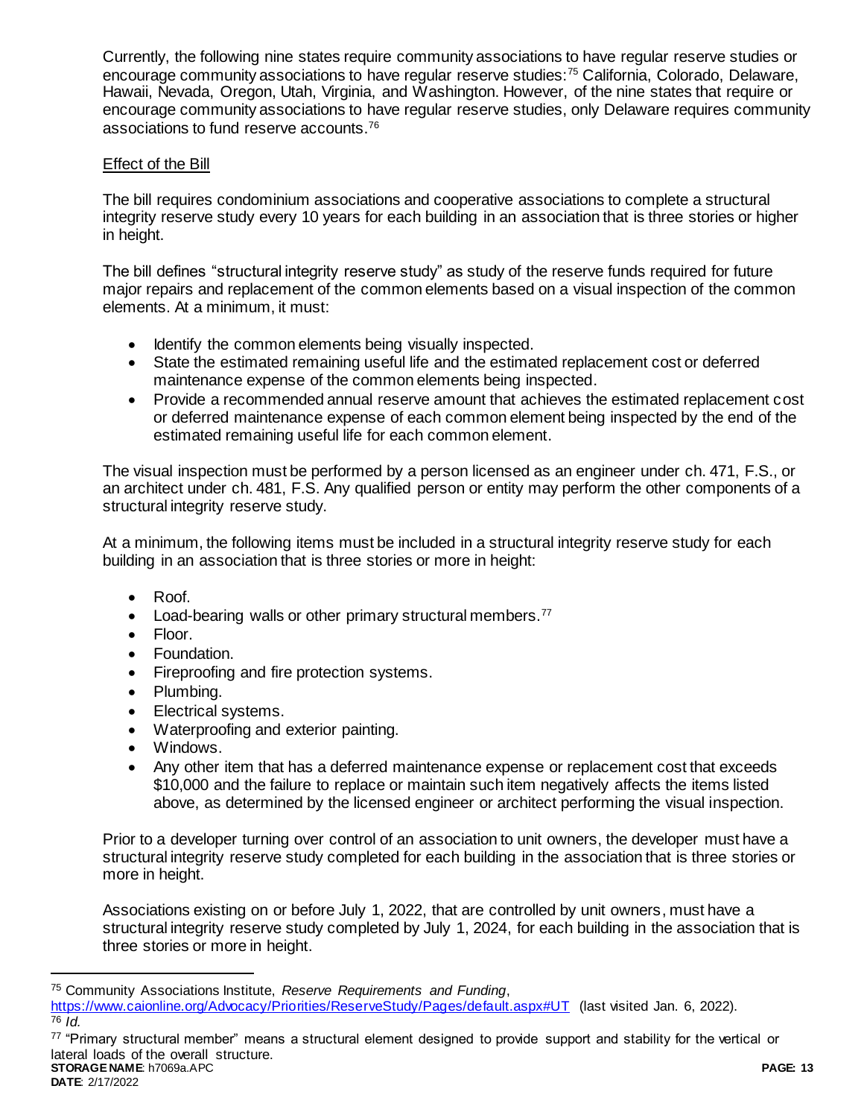Currently, the following nine states require community associations to have regular reserve studies or encourage community associations to have regular reserve studies:<sup>75</sup> California, Colorado, Delaware, Hawaii, Nevada, Oregon, Utah, Virginia, and Washington. However, of the nine states that require or encourage community associations to have regular reserve studies, only Delaware requires community associations to fund reserve accounts.<sup>76</sup>

# Effect of the Bill

The bill requires condominium associations and cooperative associations to complete a structural integrity reserve study every 10 years for each building in an association that is three stories or higher in height.

The bill defines "structural integrity reserve study" as study of the reserve funds required for future major repairs and replacement of the common elements based on a visual inspection of the common elements. At a minimum, it must:

- Identify the common elements being visually inspected.
- State the estimated remaining useful life and the estimated replacement cost or deferred maintenance expense of the common elements being inspected.
- Provide a recommended annual reserve amount that achieves the estimated replacement cost or deferred maintenance expense of each common element being inspected by the end of the estimated remaining useful life for each common element.

The visual inspection must be performed by a person licensed as an engineer under ch. 471, F.S., or an architect under ch. 481, F.S. Any qualified person or entity may perform the other components of a structural integrity reserve study.

At a minimum, the following items must be included in a structural integrity reserve study for each building in an association that is three stories or more in height:

- Roof.
- Load-bearing walls or other primary structural members.<sup>77</sup>
- Floor.
- Foundation.
- Fireproofing and fire protection systems.
- Plumbing.
- Electrical systems.
- Waterproofing and exterior painting.
- Windows.
- Any other item that has a deferred maintenance expense or replacement cost that exceeds \$10,000 and the failure to replace or maintain such item negatively affects the items listed above, as determined by the licensed engineer or architect performing the visual inspection.

Prior to a developer turning over control of an association to unit owners, the developer must have a structural integrity reserve study completed for each building in the association that is three stories or more in height.

Associations existing on or before July 1, 2022, that are controlled by unit owners, must have a structural integrity reserve study completed by July 1, 2024, for each building in the association that is three stories or more in height.

**STORAGE NAME**: h7069a.APC **PAGE: 13** <sup>77</sup> "Primary structural member" means a structural element designed to provide support and stability for the vertical or lateral loads of the overall structure.

<sup>75</sup> Community Associations Institute, *Reserve Requirements and Funding*,

<https://www.caionline.org/Advocacy/Priorities/ReserveStudy/Pages/default.aspx#UT> (last visited Jan. 6, 2022). <sup>76</sup> *Id.*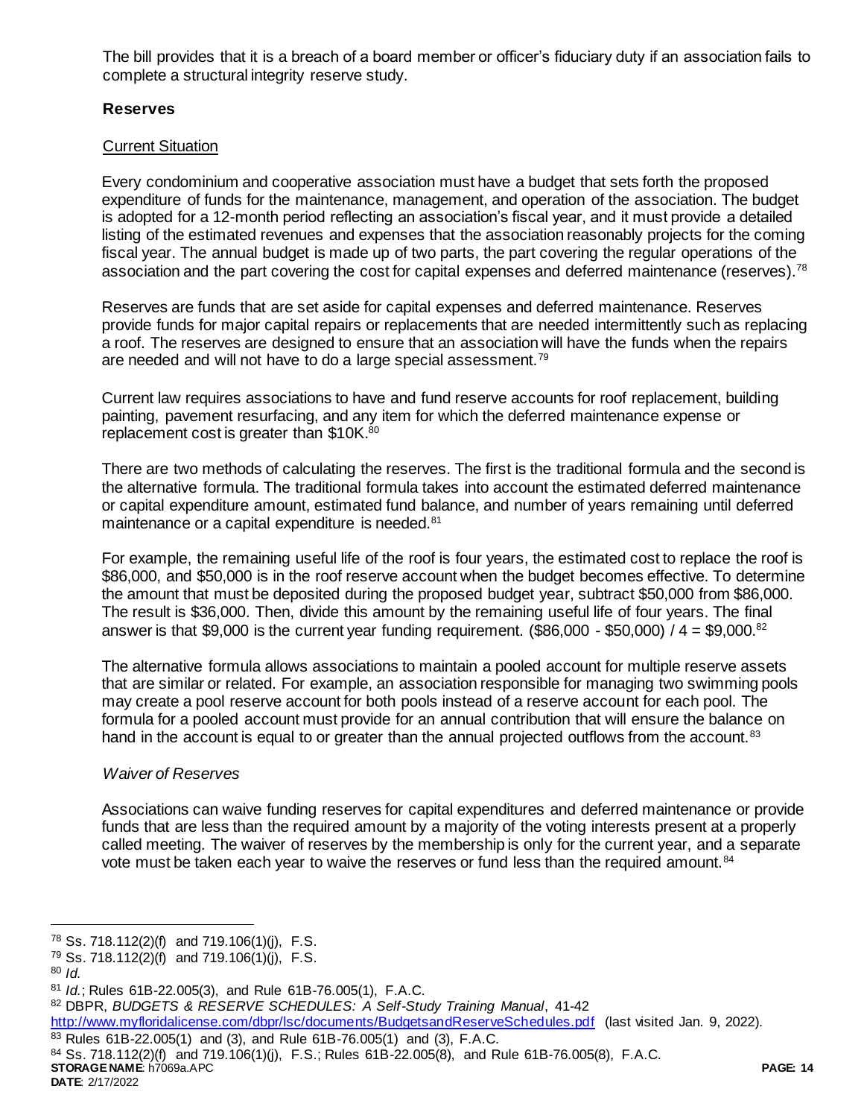The bill provides that it is a breach of a board member or officer's fiduciary duty if an association fails to complete a structural integrity reserve study.

# **Reserves**

# Current Situation

Every condominium and cooperative association must have a budget that sets forth the proposed expenditure of funds for the maintenance, management, and operation of the association. The budget is adopted for a 12-month period reflecting an association's fiscal year, and it must provide a detailed listing of the estimated revenues and expenses that the association reasonably projects for the coming fiscal year. The annual budget is made up of two parts, the part covering the regular operations of the association and the part covering the cost for capital expenses and deferred maintenance (reserves).<sup>78</sup>

Reserves are funds that are set aside for capital expenses and deferred maintenance. Reserves provide funds for major capital repairs or replacements that are needed intermittently such as replacing a roof. The reserves are designed to ensure that an association will have the funds when the repairs are needed and will not have to do a large special assessment.<sup>79</sup>

Current law requires associations to have and fund reserve accounts for roof replacement, building painting, pavement resurfacing, and any item for which the deferred maintenance expense or replacement cost is greater than \$10K.<sup>80</sup>

There are two methods of calculating the reserves. The first is the traditional formula and the second is the alternative formula. The traditional formula takes into account the estimated deferred maintenance or capital expenditure amount, estimated fund balance, and number of years remaining until deferred maintenance or a capital expenditure is needed.<sup>81</sup>

For example, the remaining useful life of the roof is four years, the estimated cost to replace the roof is \$86,000, and \$50,000 is in the roof reserve account when the budget becomes effective. To determine the amount that must be deposited during the proposed budget year, subtract \$50,000 from \$86,000. The result is \$36,000. Then, divide this amount by the remaining useful life of four years. The final answer is that \$9,000 is the current year funding requirement. (\$86,000 - \$50,000) /  $4 = $9,000$ .<sup>82</sup>

The alternative formula allows associations to maintain a pooled account for multiple reserve assets that are similar or related. For example, an association responsible for managing two swimming pools may create a pool reserve account for both pools instead of a reserve account for each pool. The formula for a pooled account must provide for an annual contribution that will ensure the balance on hand in the account is equal to or greater than the annual projected outflows from the account.<sup>83</sup>

# *Waiver of Reserves*

Associations can waive funding reserves for capital expenditures and deferred maintenance or provide funds that are less than the required amount by a majority of the voting interests present at a properly called meeting. The waiver of reserves by the membership is only for the current year, and a separate vote must be taken each year to waive the reserves or fund less than the required amount.<sup>84</sup>

l

<http://www.myfloridalicense.com/dbpr/lsc/documents/BudgetsandReserveSchedules.pdf> (last visited Jan. 9, 2022).

**STORAGE NAME**: h7069a.APC **PAGE: 14** <sup>83</sup> Rules 61B-22.005(1) and (3), and Rule 61B-76.005(1) and (3), F.A.C.  $84$  Ss. 718.112(2)(f) and 719.106(1)(j), F.S.; Rules 61B-22.005(8), and Rule 61B-76.005(8), F.A.C.

 $78$  Ss. 718.112(2)(f) and 719.106(1)(j), F.S.

 $79$  Ss. 718.112(2)(f) and 719.106(1)(j), F.S.

<sup>80</sup> *Id.* 

<sup>81</sup> *Id.*; Rules 61B-22.005(3), and Rule 61B-76.005(1), F.A.C.

<sup>82</sup> DBPR, *BUDGETS & RESERVE SCHEDULES: A Self-Study Training Manual*, 41-42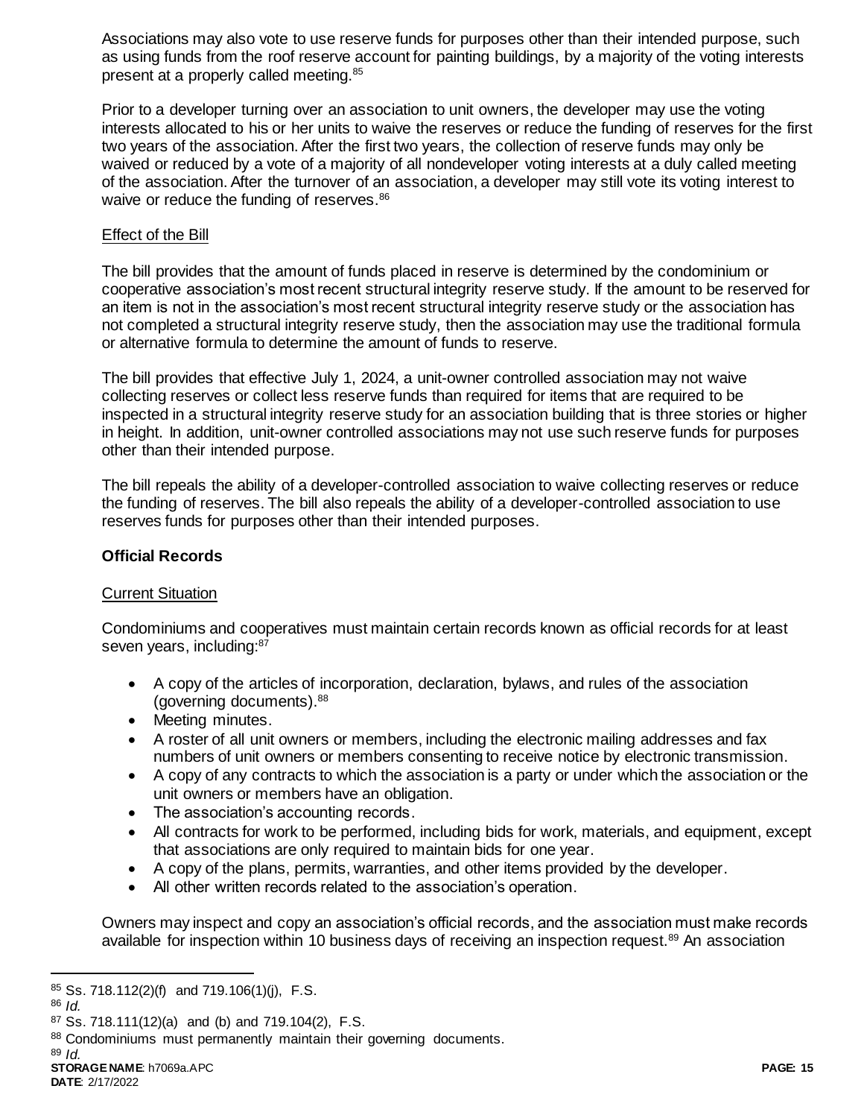Associations may also vote to use reserve funds for purposes other than their intended purpose, such as using funds from the roof reserve account for painting buildings, by a majority of the voting interests present at a properly called meeting.<sup>85</sup>

Prior to a developer turning over an association to unit owners, the developer may use the voting interests allocated to his or her units to waive the reserves or reduce the funding of reserves for the first two years of the association. After the first two years, the collection of reserve funds may only be waived or reduced by a vote of a majority of all nondeveloper voting interests at a duly called meeting of the association. After the turnover of an association, a developer may still vote its voting interest to waive or reduce the funding of reserves.<sup>86</sup>

## Effect of the Bill

The bill provides that the amount of funds placed in reserve is determined by the condominium or cooperative association's most recent structural integrity reserve study. If the amount to be reserved for an item is not in the association's most recent structural integrity reserve study or the association has not completed a structural integrity reserve study, then the association may use the traditional formula or alternative formula to determine the amount of funds to reserve.

The bill provides that effective July 1, 2024, a unit-owner controlled association may not waive collecting reserves or collect less reserve funds than required for items that are required to be inspected in a structural integrity reserve study for an association building that is three stories or higher in height. In addition, unit-owner controlled associations may not use such reserve funds for purposes other than their intended purpose.

The bill repeals the ability of a developer-controlled association to waive collecting reserves or reduce the funding of reserves. The bill also repeals the ability of a developer-controlled association to use reserves funds for purposes other than their intended purposes.

### **Official Records**

#### Current Situation

Condominiums and cooperatives must maintain certain records known as official records for at least seven years, including:<sup>87</sup>

- A copy of the articles of incorporation, declaration, bylaws, and rules of the association (governing documents).<sup>88</sup>
- Meeting minutes.
- A roster of all unit owners or members, including the electronic mailing addresses and fax numbers of unit owners or members consenting to receive notice by electronic transmission.
- A copy of any contracts to which the association is a party or under which the association or the unit owners or members have an obligation.
- The association's accounting records.
- All contracts for work to be performed, including bids for work, materials, and equipment, except that associations are only required to maintain bids for one year.
- A copy of the plans, permits, warranties, and other items provided by the developer.
- All other written records related to the association's operation.

Owners may inspect and copy an association's official records, and the association must make records available for inspection within 10 business days of receiving an inspection request.<sup>89</sup> An association

 $85$  Ss. 718.112(2)(f) and 719.106(1)(j), F.S.

<sup>86</sup> *Id.* 

 $87$  Ss. 718.111(12)(a) and (b) and 719.104(2), F.S.

<sup>88</sup> Condominiums must permanently maintain their governing documents.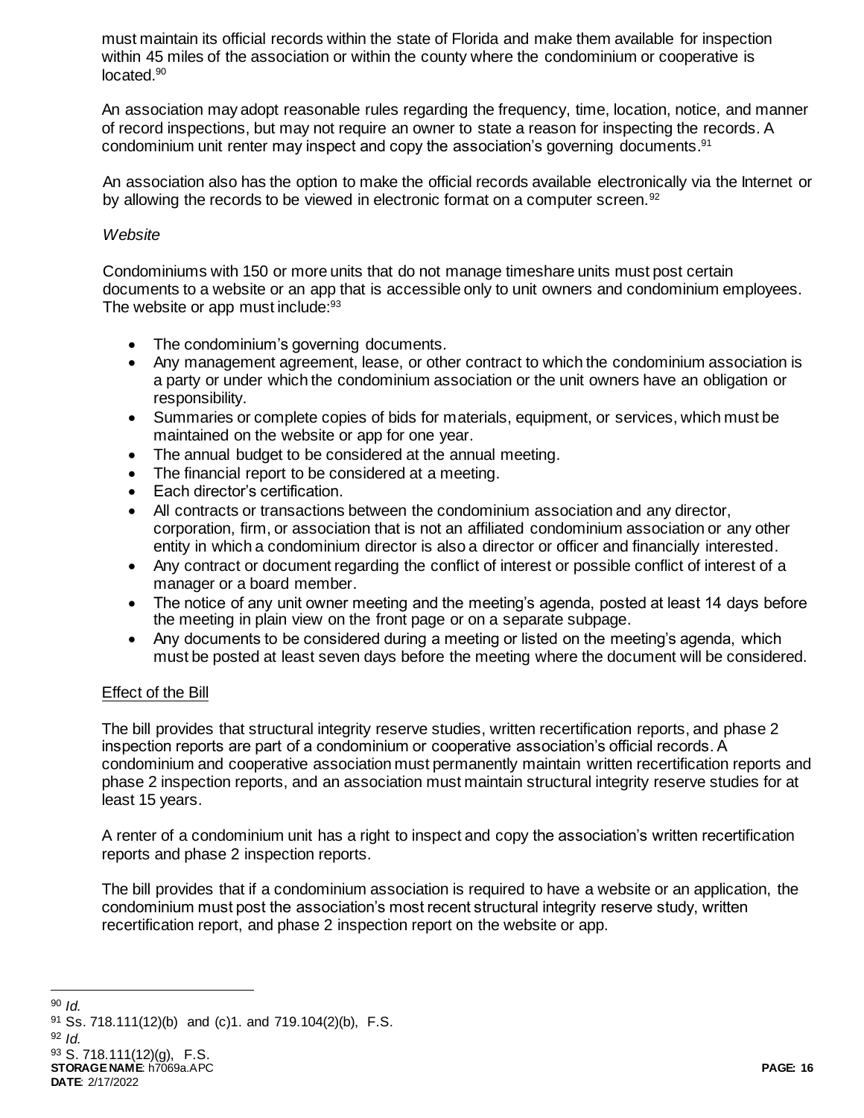must maintain its official records within the state of Florida and make them available for inspection within 45 miles of the association or within the county where the condominium or cooperative is located.<sup>90</sup>

An association may adopt reasonable rules regarding the frequency, time, location, notice, and manner of record inspections, but may not require an owner to state a reason for inspecting the records. A condominium unit renter may inspect and copy the association's governing documents. 91

An association also has the option to make the official records available electronically via the Internet or by allowing the records to be viewed in electronic format on a computer screen.<sup>92</sup>

# *Website*

Condominiums with 150 or more units that do not manage timeshare units must post certain documents to a website or an app that is accessible only to unit owners and condominium employees. The website or app must include: 93

- The condominium's governing documents.
- Any management agreement, lease, or other contract to which the condominium association is a party or under which the condominium association or the unit owners have an obligation or responsibility.
- Summaries or complete copies of bids for materials, equipment, or services, which must be maintained on the website or app for one year.
- The annual budget to be considered at the annual meeting.
- The financial report to be considered at a meeting.
- Each director's certification.
- All contracts or transactions between the condominium association and any director, corporation, firm, or association that is not an affiliated condominium association or any other entity in which a condominium director is also a director or officer and financially interested.
- Any contract or document regarding the conflict of interest or possible conflict of interest of a manager or a board member.
- The notice of any unit owner meeting and the meeting's agenda, posted at least 14 days before the meeting in plain view on the front page or on a separate subpage.
- Any documents to be considered during a meeting or listed on the meeting's agenda, which must be posted at least seven days before the meeting where the document will be considered.

# Effect of the Bill

The bill provides that structural integrity reserve studies, written recertification reports, and phase 2 inspection reports are part of a condominium or cooperative association's official records. A condominium and cooperative association must permanently maintain written recertification reports and phase 2 inspection reports, and an association must maintain structural integrity reserve studies for at least 15 years.

A renter of a condominium unit has a right to inspect and copy the association's written recertification reports and phase 2 inspection reports.

The bill provides that if a condominium association is required to have a website or an application, the condominium must post the association's most recent structural integrity reserve study, written recertification report, and phase 2 inspection report on the website or app.

l

<sup>92</sup> *Id.*

**STORAGE NAME**: h7069a.APC **PAGE: 16** <sup>93</sup> S. 718.111(12)(g), F.S.

**DATE**: 2/17/2022

<sup>90</sup> *Id.*

 $91$  Ss. 718.111(12)(b) and (c)1. and 719.104(2)(b), F.S.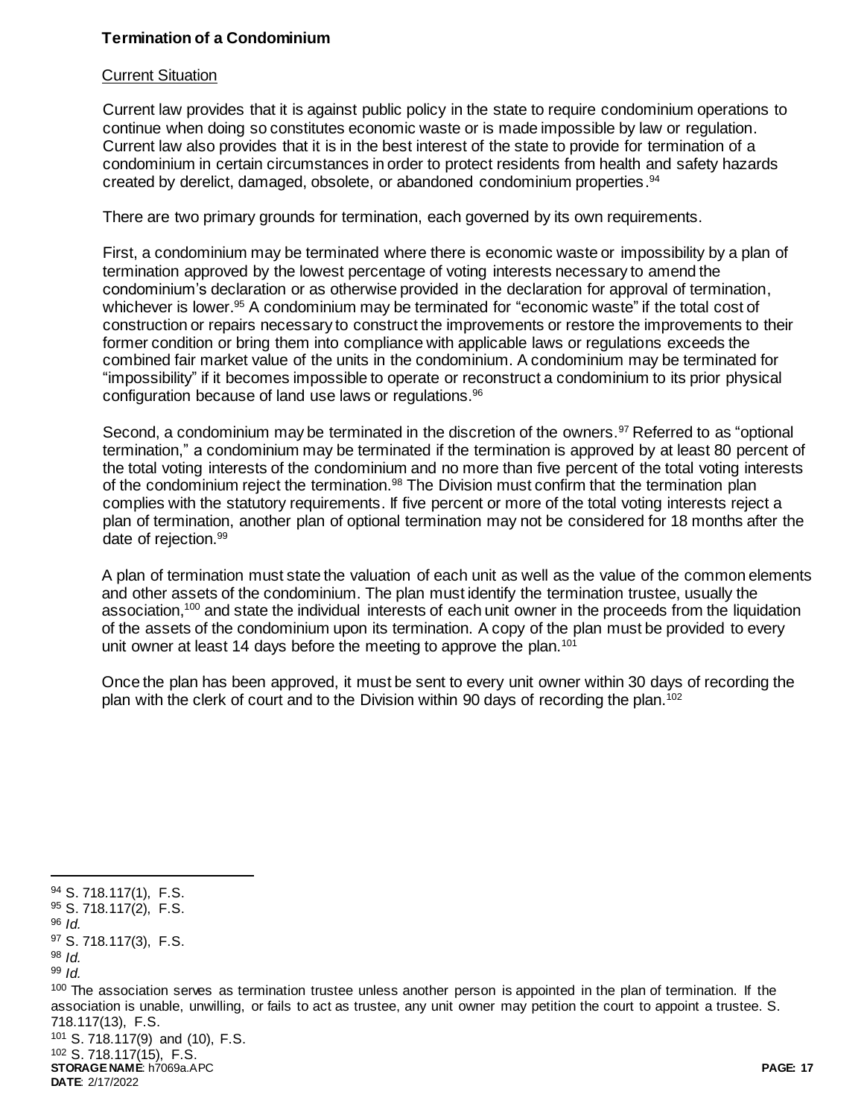# **Termination of a Condominium**

# Current Situation

Current law provides that it is against public policy in the state to require condominium operations to continue when doing so constitutes economic waste or is made impossible by law or regulation. Current law also provides that it is in the best interest of the state to provide for termination of a condominium in certain circumstances in order to protect residents from health and safety hazards created by derelict, damaged, obsolete, or abandoned condominium properties. 94

There are two primary grounds for termination, each governed by its own requirements.

First, a condominium may be terminated where there is economic waste or impossibility by a plan of termination approved by the lowest percentage of voting interests necessary to amend the condominium's declaration or as otherwise provided in the declaration for approval of termination, whichever is lower.<sup>95</sup> A condominium may be terminated for "economic waste" if the total cost of construction or repairs necessary to construct the improvements or restore the improvements to their former condition or bring them into compliance with applicable laws or regulations exceeds the combined fair market value of the units in the condominium. A condominium may be terminated for "impossibility" if it becomes impossible to operate or reconstruct a condominium to its prior physical configuration because of land use laws or regulations.<sup>96</sup>

Second, a condominium may be terminated in the discretion of the owners.<sup>97</sup> Referred to as "optional termination," a condominium may be terminated if the termination is approved by at least 80 percent of the total voting interests of the condominium and no more than five percent of the total voting interests of the condominium reject the termination.<sup>98</sup> The Division must confirm that the termination plan complies with the statutory requirements. If five percent or more of the total voting interests reject a plan of termination, another plan of optional termination may not be considered for 18 months after the date of rejection.<sup>99</sup>

A plan of termination must state the valuation of each unit as well as the value of the common elements and other assets of the condominium. The plan must identify the termination trustee, usually the association,<sup>100</sup> and state the individual interests of each unit owner in the proceeds from the liquidation of the assets of the condominium upon its termination. A copy of the plan must be provided to every unit owner at least 14 days before the meeting to approve the plan.<sup>101</sup>

Once the plan has been approved, it must be sent to every unit owner within 30 days of recording the plan with the clerk of court and to the Division within 90 days of recording the plan.<sup>102</sup>

l

**STORAGE NAME**: h7069a.APC **PAGE: 17 DATE**: 2/17/2022 <sup>101</sup> S. 718.117(9) and (10), F.S. <sup>102</sup> S. 718.117(15), F.S.

<sup>94</sup> S. 718.117(1), F.S.

<sup>95</sup> S. 718.117(2), F.S.

<sup>96</sup> *Id.*

<sup>97</sup> S. 718.117(3), F.S.

<sup>98</sup> *Id.* 

<sup>99</sup> *Id.*

<sup>&</sup>lt;sup>100</sup> The association serves as termination trustee unless another person is appointed in the plan of termination. If the association is unable, unwilling, or fails to act as trustee, any unit owner may petition the court to appoint a trustee. S. 718.117(13), F.S.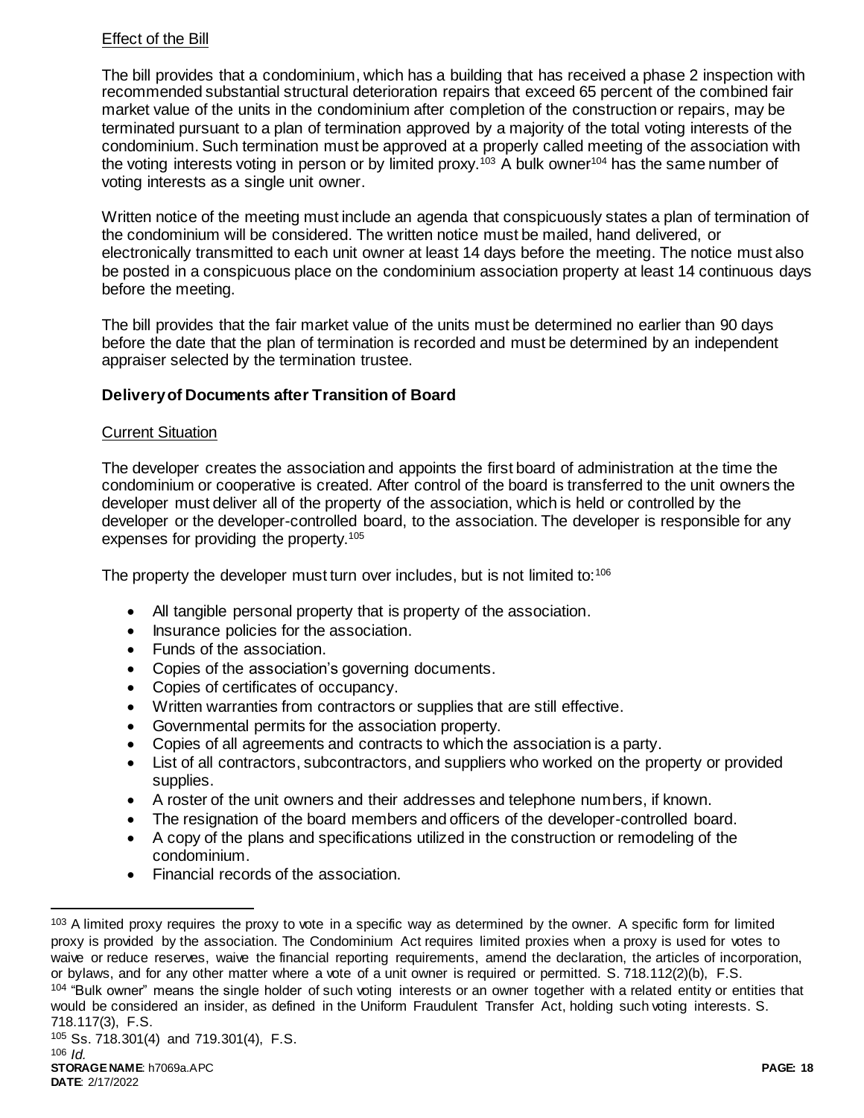# Effect of the Bill

The bill provides that a condominium, which has a building that has received a phase 2 inspection with recommended substantial structural deterioration repairs that exceed 65 percent of the combined fair market value of the units in the condominium after completion of the construction or repairs, may be terminated pursuant to a plan of termination approved by a majority of the total voting interests of the condominium. Such termination must be approved at a properly called meeting of the association with the voting interests voting in person or by limited proxy.<sup>103</sup> A bulk owner<sup>104</sup> has the same number of voting interests as a single unit owner.

Written notice of the meeting must include an agenda that conspicuously states a plan of termination of the condominium will be considered. The written notice must be mailed, hand delivered, or electronically transmitted to each unit owner at least 14 days before the meeting. The notice must also be posted in a conspicuous place on the condominium association property at least 14 continuous days before the meeting.

The bill provides that the fair market value of the units must be determined no earlier than 90 days before the date that the plan of termination is recorded and must be determined by an independent appraiser selected by the termination trustee.

# **Delivery of Documents after Transition of Board**

# Current Situation

The developer creates the association and appoints the first board of administration at the time the condominium or cooperative is created. After control of the board is transferred to the unit owners the developer must deliver all of the property of the association, which is held or controlled by the developer or the developer-controlled board, to the association. The developer is responsible for any expenses for providing the property.<sup>105</sup>

The property the developer must turn over includes, but is not limited to:<sup>106</sup>

- All tangible personal property that is property of the association.
- Insurance policies for the association.
- Funds of the association.
- Copies of the association's governing documents.
- Copies of certificates of occupancy.
- Written warranties from contractors or supplies that are still effective.
- Governmental permits for the association property.
- Copies of all agreements and contracts to which the association is a party.
- List of all contractors, subcontractors, and suppliers who worked on the property or provided supplies.
- A roster of the unit owners and their addresses and telephone numbers, if known.
- The resignation of the board members and officers of the developer-controlled board.
- A copy of the plans and specifications utilized in the construction or remodeling of the condominium.
- Financial records of the association.

<sup>&</sup>lt;sup>103</sup> A limited proxy requires the proxy to vote in a specific way as determined by the owner. A specific form for limited proxy is provided by the association. The Condominium Act requires limited proxies when a proxy is used for votes to waive or reduce reserves, waive the financial reporting requirements, amend the declaration, the articles of incorporation, or bylaws, and for any other matter where a vote of a unit owner is required or permitted. S. 718.112(2)(b), F.S. <sup>104</sup> "Bulk owner" means the single holder of such voting interests or an owner together with a related entity or entities that would be considered an insider, as defined in the Uniform Fraudulent Transfer Act, holding such voting interests. S. 718.117(3), F.S.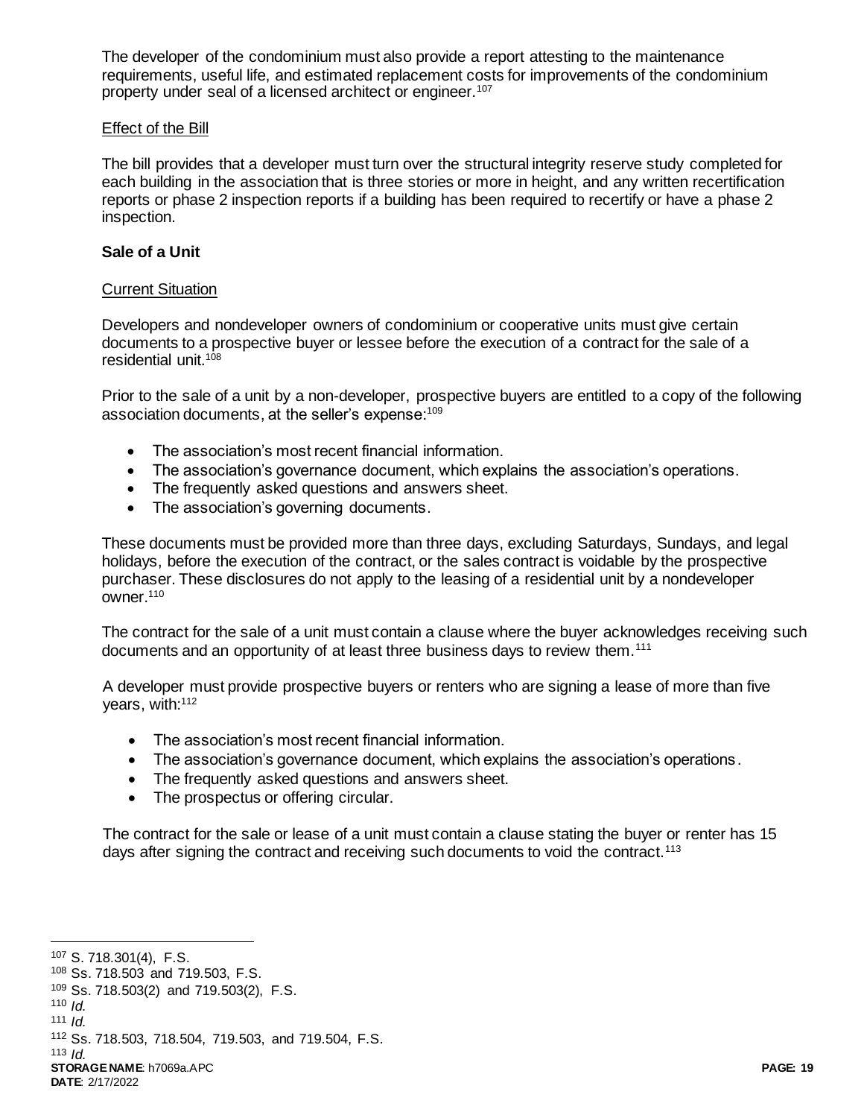The developer of the condominium must also provide a report attesting to the maintenance requirements, useful life, and estimated replacement costs for improvements of the condominium property under seal of a licensed architect or engineer.<sup>107</sup>

#### Effect of the Bill

The bill provides that a developer must turn over the structural integrity reserve study completed for each building in the association that is three stories or more in height, and any written recertification reports or phase 2 inspection reports if a building has been required to recertify or have a phase 2 inspection.

### **Sale of a Unit**

### Current Situation

Developers and nondeveloper owners of condominium or cooperative units must give certain documents to a prospective buyer or lessee before the execution of a contract for the sale of a residential unit.<sup>108</sup>

Prior to the sale of a unit by a non-developer, prospective buyers are entitled to a copy of the following association documents, at the seller's expense: 109

- The association's most recent financial information.
- The association's governance document, which explains the association's operations.
- The frequently asked questions and answers sheet.
- The association's governing documents.

These documents must be provided more than three days, excluding Saturdays, Sundays, and legal holidays, before the execution of the contract, or the sales contract is voidable by the prospective purchaser. These disclosures do not apply to the leasing of a residential unit by a nondeveloper owner.<sup>110</sup>

The contract for the sale of a unit must contain a clause where the buyer acknowledges receiving such documents and an opportunity of at least three business days to review them.<sup>111</sup>

A developer must provide prospective buyers or renters who are signing a lease of more than five years, with:<sup>112</sup>

- The association's most recent financial information.
- The association's governance document, which explains the association's operations.
- The frequently asked questions and answers sheet.
- The prospectus or offering circular.

The contract for the sale or lease of a unit must contain a clause stating the buyer or renter has 15 days after signing the contract and receiving such documents to void the contract.<sup>113</sup>

l

**STORAGE NAME**: h7069a.APC **PAGE: 19**

<sup>107</sup> S. 718.301(4), F.S.

<sup>108</sup> Ss. 718.503 and 719.503, F.S.

<sup>109</sup> Ss. 718.503(2) and 719.503(2), F.S.

<sup>110</sup>  $\overline{d}$ .

 $111$  *Id.* 

<sup>112</sup> Ss. 718.503, 718.504, 719.503, and 719.504, F.S. 113  $Id$ .

**DATE**: 2/17/2022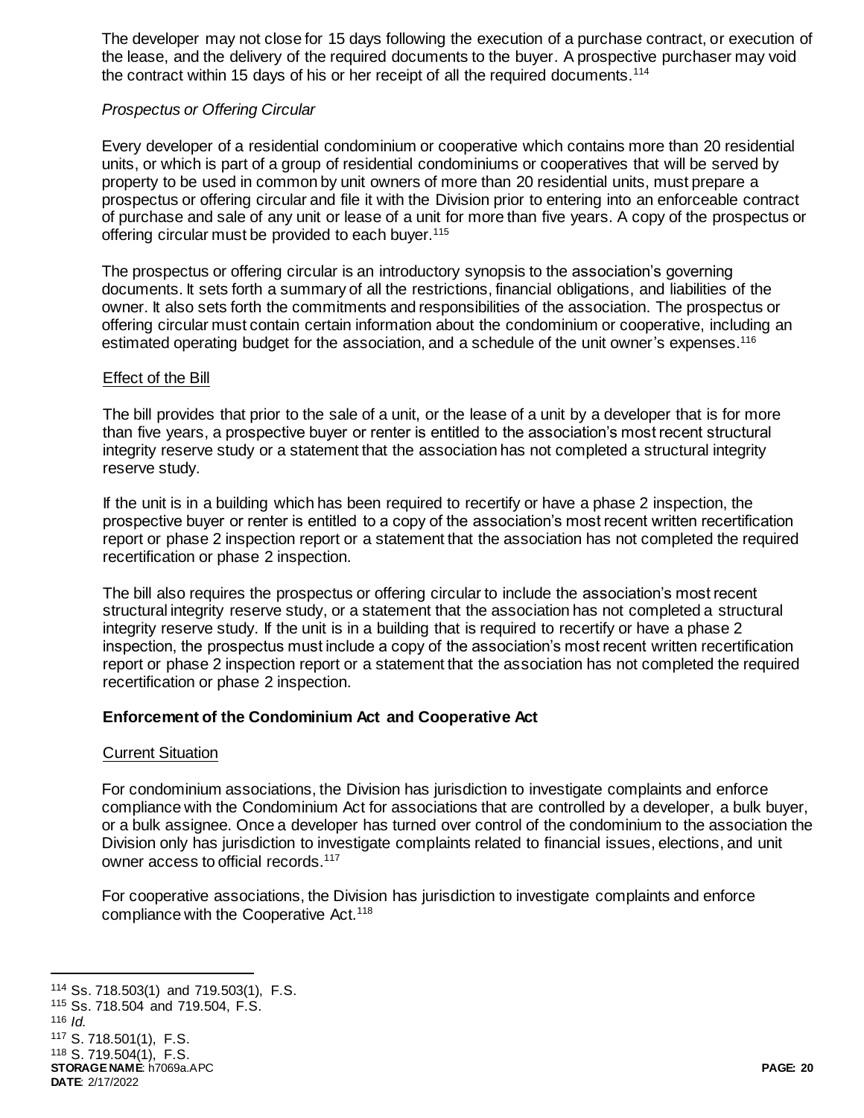The developer may not close for 15 days following the execution of a purchase contract, or execution of the lease, and the delivery of the required documents to the buyer. A prospective purchaser may void the contract within 15 days of his or her receipt of all the required documents.<sup>114</sup>

# *Prospectus or Offering Circular*

Every developer of a residential condominium or cooperative which contains more than 20 residential units, or which is part of a group of residential condominiums or cooperatives that will be served by property to be used in common by unit owners of more than 20 residential units, must prepare a prospectus or offering circular and file it with the Division prior to entering into an enforceable contract of purchase and sale of any unit or lease of a unit for more than five years. A copy of the prospectus or offering circular must be provided to each buyer.<sup>115</sup>

The prospectus or offering circular is an introductory synopsis to the association's governing documents. It sets forth a summary of all the restrictions, financial obligations, and liabilities of the owner. It also sets forth the commitments and responsibilities of the association. The prospectus or offering circular must contain certain information about the condominium or cooperative, including an estimated operating budget for the association, and a schedule of the unit owner's expenses.<sup>116</sup>

# Effect of the Bill

The bill provides that prior to the sale of a unit, or the lease of a unit by a developer that is for more than five years, a prospective buyer or renter is entitled to the association's most recent structural integrity reserve study or a statement that the association has not completed a structural integrity reserve study.

If the unit is in a building which has been required to recertify or have a phase 2 inspection, the prospective buyer or renter is entitled to a copy of the association's most recent written recertification report or phase 2 inspection report or a statement that the association has not completed the required recertification or phase 2 inspection.

The bill also requires the prospectus or offering circular to include the association's most recent structural integrity reserve study, or a statement that the association has not completed a structural integrity reserve study. If the unit is in a building that is required to recertify or have a phase 2 inspection, the prospectus must include a copy of the association's most recent written recertification report or phase 2 inspection report or a statement that the association has not completed the required recertification or phase 2 inspection.

# **Enforcement of the Condominium Act and Cooperative Act**

# Current Situation

For condominium associations, the Division has jurisdiction to investigate complaints and enforce compliance with the Condominium Act for associations that are controlled by a developer, a bulk buyer, or a bulk assignee. Once a developer has turned over control of the condominium to the association the Division only has jurisdiction to investigate complaints related to financial issues, elections, and unit owner access to official records.<sup>117</sup>

For cooperative associations, the Division has jurisdiction to investigate complaints and enforce compliance with the Cooperative Act.<sup>118</sup>

**STORAGE NAME**: h7069a.APC **PAGE: 20 DATE**: 2/17/2022 l Ss. 718.503(1) and 719.503(1), F.S. Ss. 718.504 and 719.504, F.S.  $\overline{d}$ . S. 718.501(1), F.S. S. 719.504(1), F.S.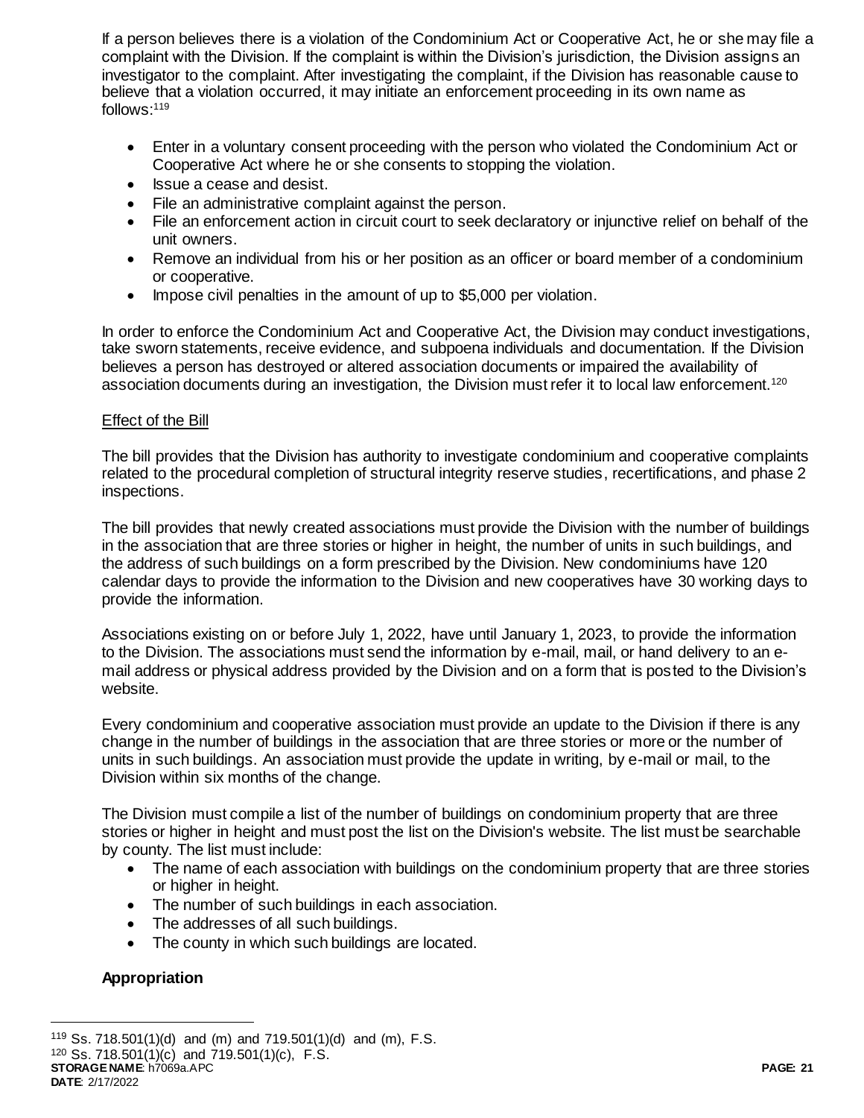If a person believes there is a violation of the Condominium Act or Cooperative Act, he or she may file a complaint with the Division. If the complaint is within the Division's jurisdiction, the Division assigns an investigator to the complaint. After investigating the complaint, if the Division has reasonable cause to believe that a violation occurred, it may initiate an enforcement proceeding in its own name as follows:<sup>119</sup>

- Enter in a voluntary consent proceeding with the person who violated the Condominium Act or Cooperative Act where he or she consents to stopping the violation.
- Issue a cease and desist.
- File an administrative complaint against the person.
- File an enforcement action in circuit court to seek declaratory or injunctive relief on behalf of the unit owners.
- Remove an individual from his or her position as an officer or board member of a condominium or cooperative.
- Impose civil penalties in the amount of up to \$5,000 per violation.

In order to enforce the Condominium Act and Cooperative Act, the Division may conduct investigations, take sworn statements, receive evidence, and subpoena individuals and documentation. If the Division believes a person has destroyed or altered association documents or impaired the availability of association documents during an investigation, the Division must refer it to local law enforcement.<sup>120</sup>

# Effect of the Bill

The bill provides that the Division has authority to investigate condominium and cooperative complaints related to the procedural completion of structural integrity reserve studies, recertifications, and phase 2 inspections.

The bill provides that newly created associations must provide the Division with the number of buildings in the association that are three stories or higher in height, the number of units in such buildings, and the address of such buildings on a form prescribed by the Division. New condominiums have 120 calendar days to provide the information to the Division and new cooperatives have 30 working days to provide the information.

Associations existing on or before July 1, 2022, have until January 1, 2023, to provide the information to the Division. The associations must send the information by e-mail, mail, or hand delivery to an email address or physical address provided by the Division and on a form that is posted to the Division's website.

Every condominium and cooperative association must provide an update to the Division if there is any change in the number of buildings in the association that are three stories or more or the number of units in such buildings. An association must provide the update in writing, by e-mail or mail, to the Division within six months of the change.

The Division must compile a list of the number of buildings on condominium property that are three stories or higher in height and must post the list on the Division's website. The list must be searchable by county. The list must include:

- The name of each association with buildings on the condominium property that are three stories or higher in height.
- The number of such buildings in each association.
- The addresses of all such buildings.
- The county in which such buildings are located.

# **Appropriation**

**DATE**: 2/17/2022

<sup>119</sup> Ss. 718.501(1)(d) and (m) and 719.501(1)(d) and (m), F.S.

**STORAGE NAME**: h7069a.APC **PAGE: 21** <sup>120</sup> Ss. 718.501(1)(c) and 719.501(1)(c), F.S.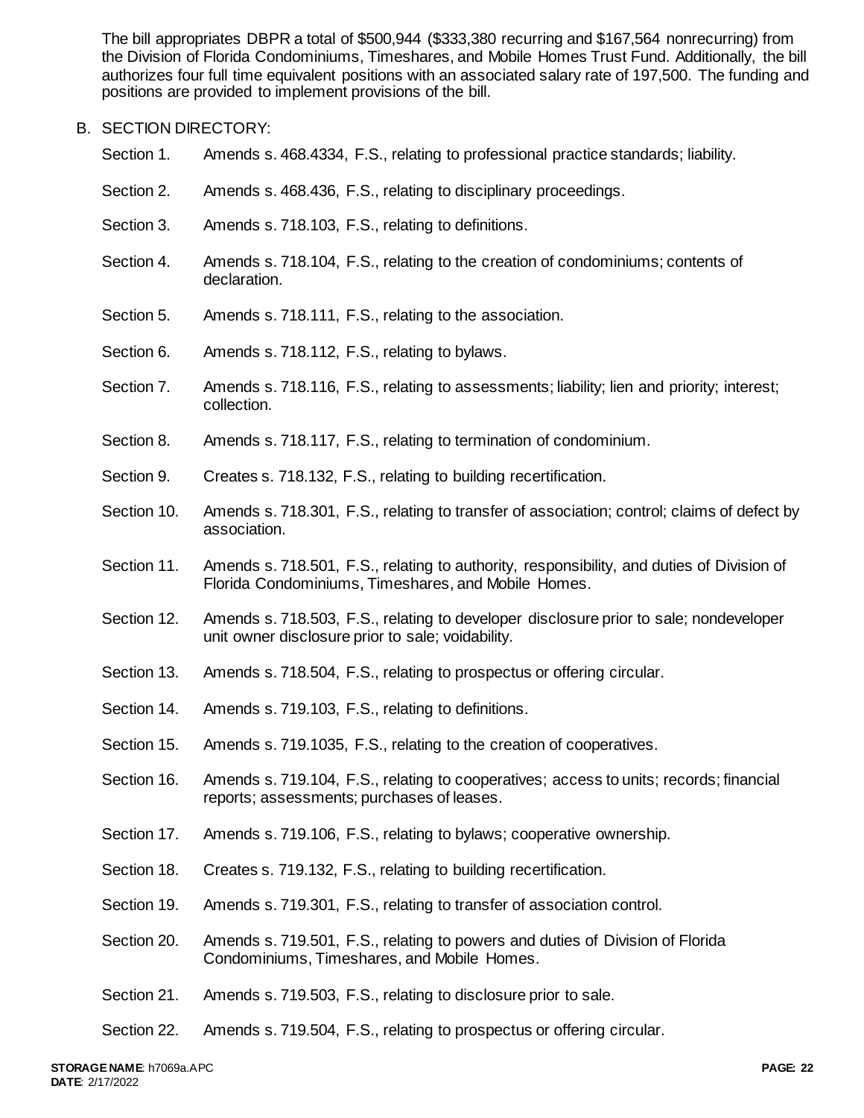The bill appropriates DBPR a total of \$500,944 (\$333,380 recurring and \$167,564 nonrecurring) from the Division of Florida Condominiums, Timeshares, and Mobile Homes Trust Fund. Additionally, the bill authorizes four full time equivalent positions with an associated salary rate of 197,500. The funding and positions are provided to implement provisions of the bill.

## B. SECTION DIRECTORY:

- Section 1. Amends s. 468.4334, F.S., relating to professional practice standards; liability.
- Section 2. Amends s. 468.436, F.S., relating to disciplinary proceedings.
- Section 3. Amends s. 718.103, F.S., relating to definitions.
- Section 4. Amends s. 718.104, F.S., relating to the creation of condominiums; contents of declaration.
- Section 5. Amends s. 718.111, F.S., relating to the association.
- Section 6. Amends s. 718.112, F.S., relating to bylaws.
- Section 7. Amends s. 718.116, F.S., relating to assessments; liability; lien and priority; interest; collection.
- Section 8. Amends s. 718.117, F.S., relating to termination of condominium.
- Section 9. Creates s. 718.132, F.S., relating to building recertification.
- Section 10. Amends s. 718.301, F.S., relating to transfer of association; control; claims of defect by association.
- Section 11. Amends s. 718.501, F.S., relating to authority, responsibility, and duties of Division of Florida Condominiums, Timeshares, and Mobile Homes.
- Section 12. Amends s. 718.503, F.S., relating to developer disclosure prior to sale; nondeveloper unit owner disclosure prior to sale; voidability.
- Section 13. Amends s. 718.504, F.S., relating to prospectus or offering circular.
- Section 14. Amends s. 719.103, F.S., relating to definitions.
- Section 15. Amends s. 719.1035, F.S., relating to the creation of cooperatives.
- Section 16. Amends s. 719.104, F.S., relating to cooperatives; access to units; records; financial reports; assessments; purchases of leases.
- Section 17. Amends s. 719.106, F.S., relating to bylaws; cooperative ownership.
- Section 18. Creates s. 719.132, F.S., relating to building recertification.
- Section 19. Amends s. 719.301, F.S., relating to transfer of association control.
- Section 20. Amends s. 719.501, F.S., relating to powers and duties of Division of Florida Condominiums, Timeshares, and Mobile Homes.
- Section 21. Amends s. 719.503, F.S., relating to disclosure prior to sale.
- Section 22. Amends s. 719.504, F.S., relating to prospectus or offering circular.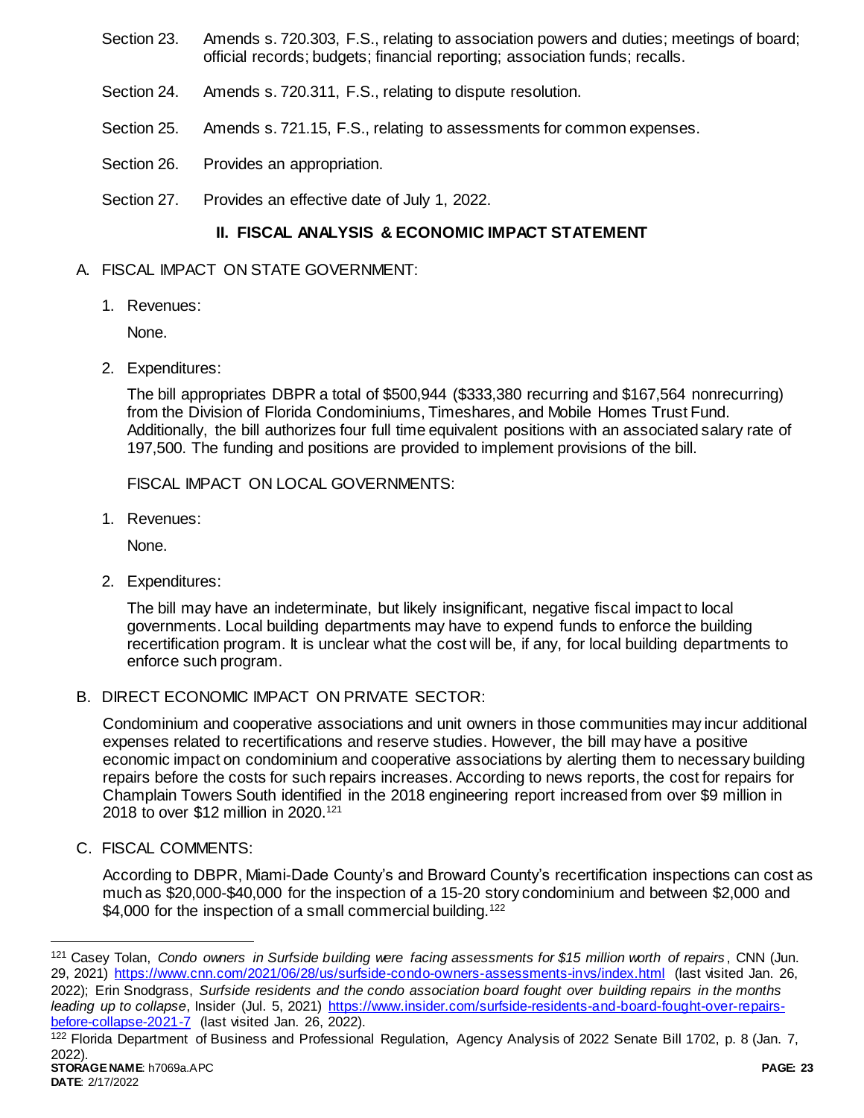- Section 23. Amends s. 720.303, F.S., relating to association powers and duties; meetings of board; official records; budgets; financial reporting; association funds; recalls.
- Section 24. Amends s. 720.311, F.S., relating to dispute resolution.
- Section 25. Amends s. 721.15, F.S., relating to assessments for common expenses.
- Section 26. Provides an appropriation.
- Section 27. Provides an effective date of July 1, 2022.

# **II. FISCAL ANALYSIS & ECONOMIC IMPACT STATEMENT**

### A. FISCAL IMPACT ON STATE GOVERNMENT:

1. Revenues:

None.

2. Expenditures:

The bill appropriates DBPR a total of \$500,944 (\$333,380 recurring and \$167,564 nonrecurring) from the Division of Florida Condominiums, Timeshares, and Mobile Homes Trust Fund. Additionally, the bill authorizes four full time equivalent positions with an associated salary rate of 197,500. The funding and positions are provided to implement provisions of the bill.

FISCAL IMPACT ON LOCAL GOVERNMENTS:

1. Revenues:

None.

2. Expenditures:

The bill may have an indeterminate, but likely insignificant, negative fiscal impact to local governments. Local building departments may have to expend funds to enforce the building recertification program. It is unclear what the cost will be, if any, for local building departments to enforce such program.

# B. DIRECT ECONOMIC IMPACT ON PRIVATE SECTOR:

Condominium and cooperative associations and unit owners in those communities may incur additional expenses related to recertifications and reserve studies. However, the bill may have a positive economic impact on condominium and cooperative associations by alerting them to necessary building repairs before the costs for such repairs increases. According to news reports, the cost for repairs for Champlain Towers South identified in the 2018 engineering report increased from over \$9 million in 2018 to over \$12 million in 2020.<sup>121</sup>

C. FISCAL COMMENTS:

According to DBPR, Miami-Dade County's and Broward County's recertification inspections can cost as much as \$20,000-\$40,000 for the inspection of a 15-20 story condominium and between \$2,000 and \$4,000 for the inspection of a small commercial building.<sup>122</sup>

**STORAGE NAME**: h7069a.APC **PAGE: 23** 122 Florida Department of Business and Professional Regulation, Agency Analysis of 2022 Senate Bill 1702, p. 8 (Jan. 7, 2022).

<sup>121</sup> Casey Tolan, *Condo owners in Surfside building were facing assessments for \$15 million worth of repairs* , CNN (Jun. 29, 2021)<https://www.cnn.com/2021/06/28/us/surfside-condo-owners-assessments-invs/index.html> (last visited Jan. 26, 2022); Erin Snodgrass, *Surfside residents and the condo association board fought over building repairs in the months leading up to collapse*, Insider (Jul. 5, 2021) [https://www.insider.com/surfside-residents-and-board-fought-over-repairs](https://www.insider.com/surfside-residents-and-board-fought-over-repairs-before-collapse-2021-7)[before-collapse-2021-7](https://www.insider.com/surfside-residents-and-board-fought-over-repairs-before-collapse-2021-7) (last visited Jan. 26, 2022).